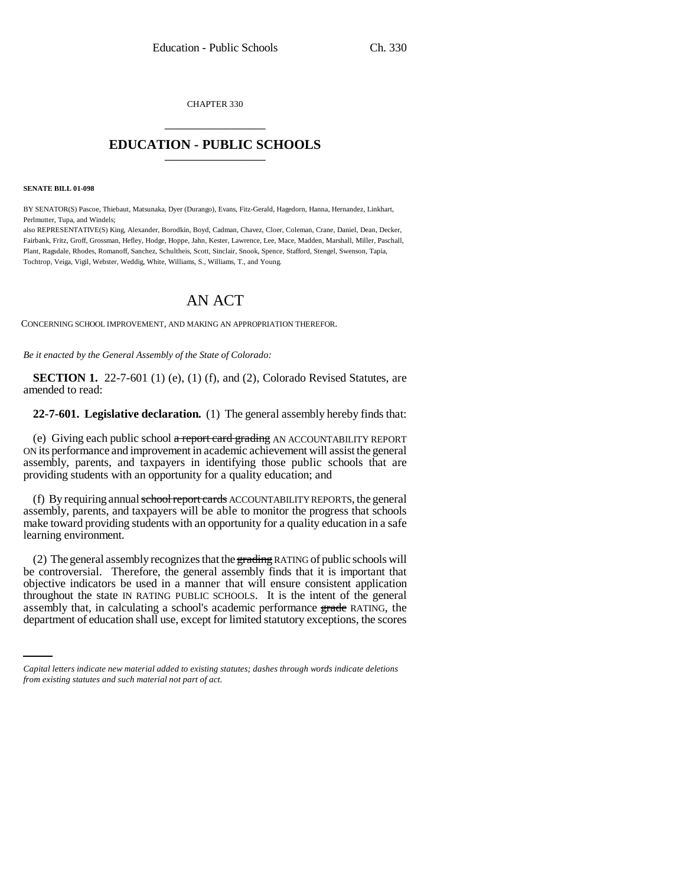CHAPTER 330 \_\_\_\_\_\_\_\_\_\_\_\_\_\_\_

# **EDUCATION - PUBLIC SCHOOLS** \_\_\_\_\_\_\_\_\_\_\_\_\_\_\_

#### **SENATE BILL 01-098**

BY SENATOR(S) Pascoe, Thiebaut, Matsunaka, Dyer (Durango), Evans, Fitz-Gerald, Hagedorn, Hanna, Hernandez, Linkhart, Perlmutter, Tupa, and Windels;

also REPRESENTATIVE(S) King, Alexander, Borodkin, Boyd, Cadman, Chavez, Cloer, Coleman, Crane, Daniel, Dean, Decker, Fairbank, Fritz, Groff, Grossman, Hefley, Hodge, Hoppe, Jahn, Kester, Lawrence, Lee, Mace, Madden, Marshall, Miller, Paschall, Plant, Ragsdale, Rhodes, Romanoff, Sanchez, Schultheis, Scott, Sinclair, Snook, Spence, Stafford, Stengel, Swenson, Tapia, Tochtrop, Veiga, Vigil, Webster, Weddig, White, Williams, S., Williams, T., and Young.

# AN ACT

CONCERNING SCHOOL IMPROVEMENT, AND MAKING AN APPROPRIATION THEREFOR.

*Be it enacted by the General Assembly of the State of Colorado:*

**SECTION 1.** 22-7-601 (1) (e), (1) (f), and (2), Colorado Revised Statutes, are amended to read:

**22-7-601. Legislative declaration.** (1) The general assembly hereby finds that:

(e) Giving each public school a report card grading AN ACCOUNTABILITY REPORT ON its performance and improvement in academic achievement will assist the general assembly, parents, and taxpayers in identifying those public schools that are providing students with an opportunity for a quality education; and

(f) By requiring annual school report cards ACCOUNTABILITY REPORTS, the general assembly, parents, and taxpayers will be able to monitor the progress that schools make toward providing students with an opportunity for a quality education in a safe learning environment.

throughout the state IN RATING PUBLIC SCHOOLS. It is the intent of the general (2) The general assembly recognizes that the grading RATING of public schools will be controversial. Therefore, the general assembly finds that it is important that objective indicators be used in a manner that will ensure consistent application assembly that, in calculating a school's academic performance grade RATING, the department of education shall use, except for limited statutory exceptions, the scores

*Capital letters indicate new material added to existing statutes; dashes through words indicate deletions from existing statutes and such material not part of act.*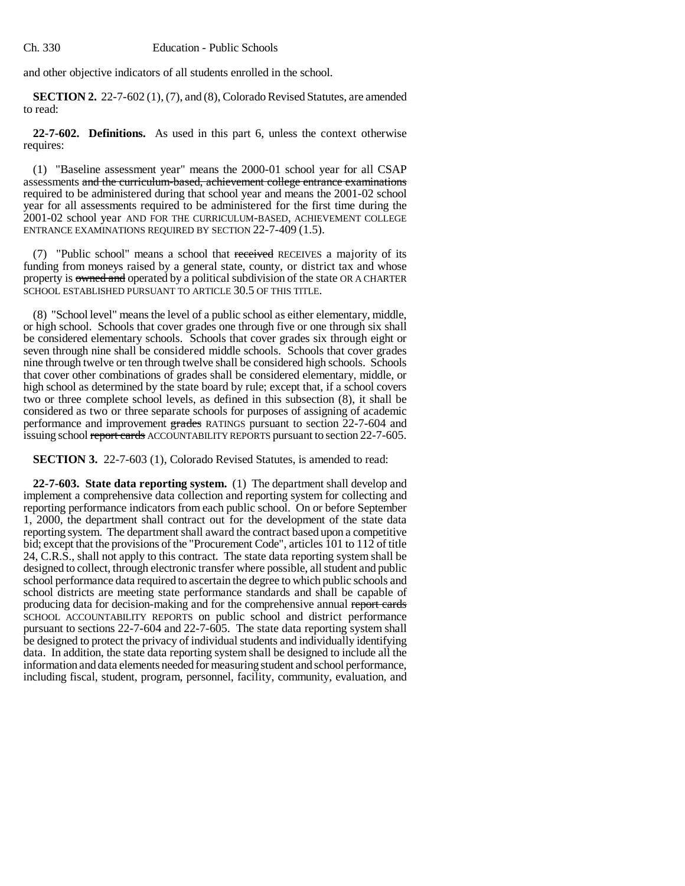and other objective indicators of all students enrolled in the school.

**SECTION 2.** 22-7-602 (1), (7), and (8), Colorado Revised Statutes, are amended to read:

**22-7-602. Definitions.** As used in this part 6, unless the context otherwise requires:

(1) "Baseline assessment year" means the 2000-01 school year for all CSAP assessments and the curriculum-based, achievement college entrance examinations required to be administered during that school year and means the 2001-02 school year for all assessments required to be administered for the first time during the 2001-02 school year AND FOR THE CURRICULUM-BASED, ACHIEVEMENT COLLEGE ENTRANCE EXAMINATIONS REQUIRED BY SECTION 22-7-409 (1.5).

(7) "Public school" means a school that received RECEIVES a majority of its funding from moneys raised by a general state, county, or district tax and whose property is owned and operated by a political subdivision of the state OR A CHARTER SCHOOL ESTABLISHED PURSUANT TO ARTICLE 30.5 OF THIS TITLE.

(8) "School level" means the level of a public school as either elementary, middle, or high school. Schools that cover grades one through five or one through six shall be considered elementary schools. Schools that cover grades six through eight or seven through nine shall be considered middle schools. Schools that cover grades nine through twelve or ten through twelve shall be considered high schools. Schools that cover other combinations of grades shall be considered elementary, middle, or high school as determined by the state board by rule; except that, if a school covers two or three complete school levels, as defined in this subsection (8), it shall be considered as two or three separate schools for purposes of assigning of academic performance and improvement grades RATINGS pursuant to section 22-7-604 and issuing school report cards ACCOUNTABILITY REPORTS pursuant to section 22-7-605.

**SECTION 3.** 22-7-603 (1), Colorado Revised Statutes, is amended to read:

**22-7-603. State data reporting system.** (1) The department shall develop and implement a comprehensive data collection and reporting system for collecting and reporting performance indicators from each public school. On or before September 1, 2000, the department shall contract out for the development of the state data reporting system. The department shall award the contract based upon a competitive bid; except that the provisions of the "Procurement Code", articles 101 to 112 of title 24, C.R.S., shall not apply to this contract. The state data reporting system shall be designed to collect, through electronic transfer where possible, all student and public school performance data required to ascertain the degree to which public schools and school districts are meeting state performance standards and shall be capable of producing data for decision-making and for the comprehensive annual report cards SCHOOL ACCOUNTABILITY REPORTS on public school and district performance pursuant to sections 22-7-604 and 22-7-605. The state data reporting system shall be designed to protect the privacy of individual students and individually identifying data. In addition, the state data reporting system shall be designed to include all the information and data elements needed for measuring student and school performance, including fiscal, student, program, personnel, facility, community, evaluation, and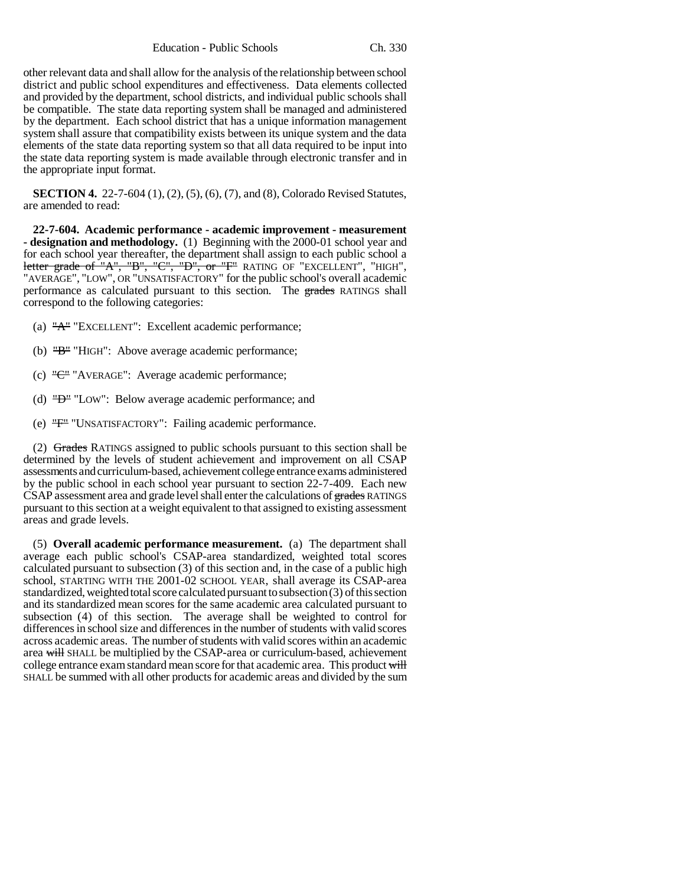Education - Public Schools Ch. 330

other relevant data and shall allow for the analysis of the relationship between school district and public school expenditures and effectiveness. Data elements collected and provided by the department, school districts, and individual public schools shall be compatible. The state data reporting system shall be managed and administered by the department. Each school district that has a unique information management system shall assure that compatibility exists between its unique system and the data elements of the state data reporting system so that all data required to be input into the state data reporting system is made available through electronic transfer and in the appropriate input format.

**SECTION 4.** 22-7-604 (1), (2), (5), (6), (7), and (8), Colorado Revised Statutes, are amended to read:

**22-7-604. Academic performance - academic improvement - measurement - designation and methodology.** (1) Beginning with the 2000-01 school year and for each school year thereafter, the department shall assign to each public school a letter grade of "A", "B", "C", "D", or "F" RATING OF "EXCELLENT", "HIGH", "AVERAGE", "LOW", OR "UNSATISFACTORY" for the public school's overall academic performance as calculated pursuant to this section. The grades RATINGS shall correspond to the following categories:

- (a) "A" "EXCELLENT": Excellent academic performance;
- (b) "B" "HIGH": Above average academic performance;
- (c) "C" "AVERAGE": Average academic performance;
- (d) "D" "LOW": Below average academic performance; and
- (e) "F" "UNSATISFACTORY": Failing academic performance.

(2) Grades RATINGS assigned to public schools pursuant to this section shall be determined by the levels of student achievement and improvement on all CSAP assessments and curriculum-based, achievement college entrance exams administered by the public school in each school year pursuant to section 22-7-409. Each new CSAP assessment area and grade level shall enter the calculations of grades RATINGS pursuant to this section at a weight equivalent to that assigned to existing assessment areas and grade levels.

(5) **Overall academic performance measurement.** (a) The department shall average each public school's CSAP-area standardized, weighted total scores calculated pursuant to subsection (3) of this section and, in the case of a public high school, STARTING WITH THE 2001-02 SCHOOL YEAR, shall average its CSAP-area standardized, weighted total score calculated pursuant to subsection (3) of this section and its standardized mean scores for the same academic area calculated pursuant to subsection (4) of this section. The average shall be weighted to control for differences in school size and differences in the number of students with valid scores across academic areas. The number of students with valid scores within an academic area will SHALL be multiplied by the CSAP-area or curriculum-based, achievement college entrance exam standard mean score for that academic area. This product will SHALL be summed with all other products for academic areas and divided by the sum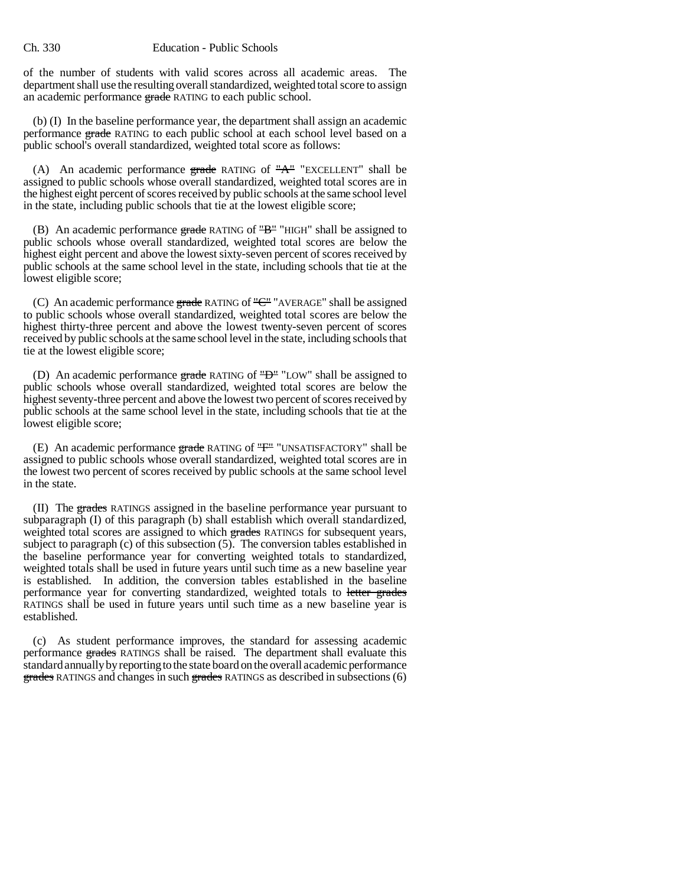### Ch. 330 Education - Public Schools

of the number of students with valid scores across all academic areas. The department shall use the resulting overall standardized, weighted total score to assign an academic performance grade RATING to each public school.

(b) (I) In the baseline performance year, the department shall assign an academic performance grade RATING to each public school at each school level based on a public school's overall standardized, weighted total score as follows:

(A) An academic performance  $grade$  RATING of " $A$ " "EXCELLENT" shall be assigned to public schools whose overall standardized, weighted total scores are in the highest eight percent of scores received by public schools at the same school level in the state, including public schools that tie at the lowest eligible score;

(B) An academic performance  $\frac{grad}{dx}$  RATING of " $B$ " "HIGH" shall be assigned to public schools whose overall standardized, weighted total scores are below the highest eight percent and above the lowest sixty-seven percent of scores received by public schools at the same school level in the state, including schools that tie at the lowest eligible score;

(C) An academic performance grade RATING of " $C$ " "AVERAGE" shall be assigned to public schools whose overall standardized, weighted total scores are below the highest thirty-three percent and above the lowest twenty-seven percent of scores received by public schools at the same school level in the state, including schools that tie at the lowest eligible score;

(D) An academic performance  $\frac{grad}{dx}$  RATING of " $\frac{10}{2}$ " LOW" shall be assigned to public schools whose overall standardized, weighted total scores are below the highest seventy-three percent and above the lowest two percent of scores received by public schools at the same school level in the state, including schools that tie at the lowest eligible score;

(E) An academic performance  $\frac{grad}{ }$  RATING of " $F$ " "UNSATISFACTORY" shall be assigned to public schools whose overall standardized, weighted total scores are in the lowest two percent of scores received by public schools at the same school level in the state.

(II) The grades RATINGS assigned in the baseline performance year pursuant to subparagraph (I) of this paragraph (b) shall establish which overall standardized, weighted total scores are assigned to which grades RATINGS for subsequent years, subject to paragraph (c) of this subsection (5). The conversion tables established in the baseline performance year for converting weighted totals to standardized, weighted totals shall be used in future years until such time as a new baseline year is established. In addition, the conversion tables established in the baseline performance year for converting standardized, weighted totals to letter grades RATINGS shall be used in future years until such time as a new baseline year is established.

(c) As student performance improves, the standard for assessing academic performance grades RATINGS shall be raised. The department shall evaluate this standard annually by reporting to the state board on the overall academic performance grades RATINGS and changes in such grades RATINGS as described in subsections (6)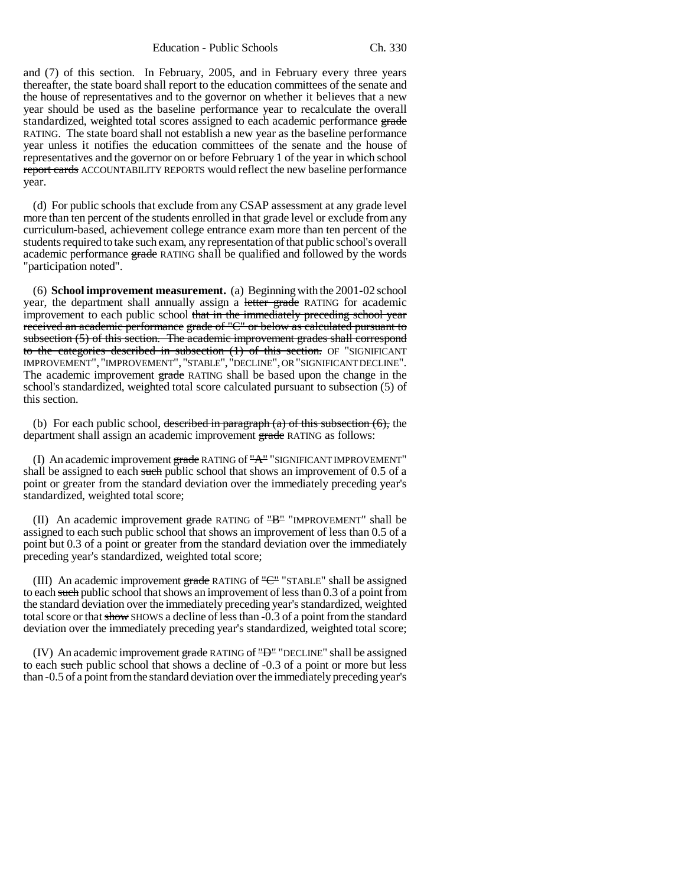Education - Public Schools Ch. 330

and (7) of this section. In February, 2005, and in February every three years thereafter, the state board shall report to the education committees of the senate and the house of representatives and to the governor on whether it believes that a new year should be used as the baseline performance year to recalculate the overall standardized, weighted total scores assigned to each academic performance grade RATING. The state board shall not establish a new year as the baseline performance year unless it notifies the education committees of the senate and the house of representatives and the governor on or before February 1 of the year in which school report cards ACCOUNTABILITY REPORTS would reflect the new baseline performance year.

(d) For public schools that exclude from any CSAP assessment at any grade level more than ten percent of the students enrolled in that grade level or exclude from any curriculum-based, achievement college entrance exam more than ten percent of the students required to take such exam, any representation of that public school's overall academic performance grade RATING shall be qualified and followed by the words "participation noted".

(6) **School improvement measurement.** (a) Beginning with the 2001-02 school year, the department shall annually assign a letter grade RATING for academic improvement to each public school that in the immediately preceding school year received an academic performance grade of "C" or below as calculated pursuant to subsection (5) of this section. The academic improvement grades shall correspond to the categories described in subsection  $(1)$  of this section. OF "SIGNIFICANT IMPROVEMENT", "IMPROVEMENT", "STABLE","DECLINE", OR "SIGNIFICANT DECLINE". The academic improvement grade RATING shall be based upon the change in the school's standardized, weighted total score calculated pursuant to subsection (5) of this section.

(b) For each public school, described in paragraph  $(a)$  of this subsection  $(6)$ , the department shall assign an academic improvement grade RATING as follows:

(I) An academic improvement grade RATING of "A" "SIGNIFICANT IMPROVEMENT" shall be assigned to each such public school that shows an improvement of 0.5 of a point or greater from the standard deviation over the immediately preceding year's standardized, weighted total score;

(II) An academic improvement grade RATING of  $H^{\text{H}}$  "IMPROVEMENT" shall be assigned to each such public school that shows an improvement of less than 0.5 of a point but 0.3 of a point or greater from the standard deviation over the immediately preceding year's standardized, weighted total score;

(III) An academic improvement grade RATING of "C" "STABLE" shall be assigned to each such public school that shows an improvement of less than 0.3 of a point from the standard deviation over the immediately preceding year's standardized, weighted total score or that show SHOWS a decline of less than -0.3 of a point from the standard deviation over the immediately preceding year's standardized, weighted total score;

(IV) An academic improvement  $\frac{1}{2}$  grade RATING of " $\frac{10}{2}$ " "DECLINE" shall be assigned to each such public school that shows a decline of -0.3 of a point or more but less than -0.5 of a point from the standard deviation over the immediately preceding year's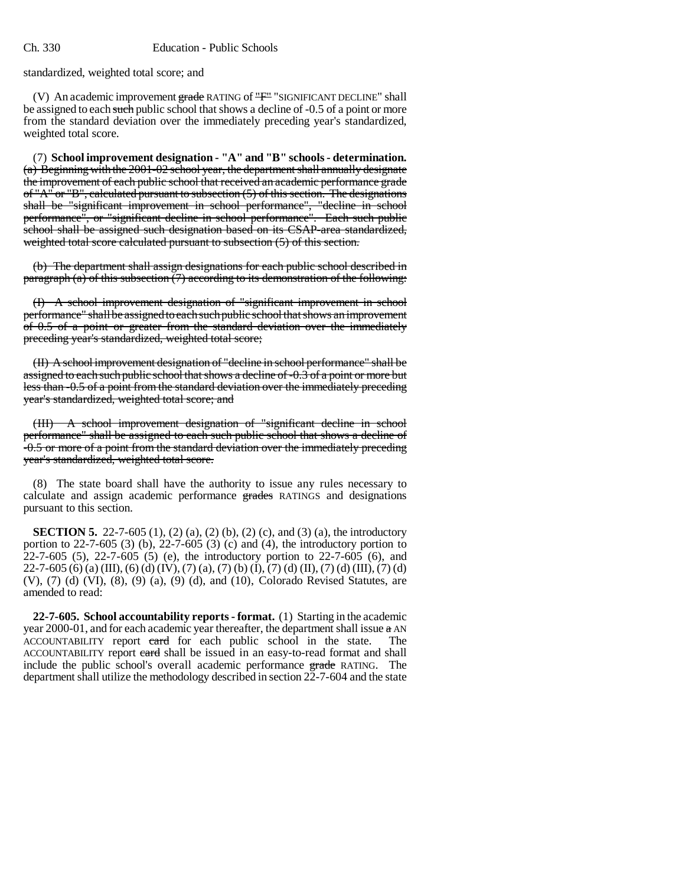standardized, weighted total score; and

(V) An academic improvement  $\frac{1}{2}$  and  $\frac{1}{2}$  RATING of  $\frac{1}{2}$  "SIGNIFICANT DECLINE" shall be assigned to each such public school that shows a decline of -0.5 of a point or more from the standard deviation over the immediately preceding year's standardized, weighted total score.

(7) **School improvement designation - "A" and "B" schools - determination.** (a) Beginning with the 2001-02 school year, the department shall annually designate the improvement of each public school that received an academic performance grade of "A" or "B", calculated pursuant to subsection (5) of this section. The designations shall be "significant improvement in school performance", "decline in school performance", or "significant decline in school performance". Each such public school shall be assigned such designation based on its CSAP-area standardized, weighted total score calculated pursuant to subsection  $(5)$  of this section.

(b) The department shall assign designations for each public school described in paragraph  $(a)$  of this subsection  $(7)$  according to its demonstration of the following:

(I) A school improvement designation of "significant improvement in school performance" shall be assigned to each such public school that shows an improvement of 0.5 of a point or greater from the standard deviation over the immediately preceding year's standardized, weighted total score;

(II) A school improvement designation of "decline in school performance" shall be assigned to each such public school that shows a decline of -0.3 of a point or more but less than -0.5 of a point from the standard deviation over the immediately preceding year's standardized, weighted total score; and

(III) A school improvement designation of "significant decline in school performance" shall be assigned to each such public school that shows a decline of -0.5 or more of a point from the standard deviation over the immediately preceding year's standardized, weighted total score.

(8) The state board shall have the authority to issue any rules necessary to calculate and assign academic performance grades RATINGS and designations pursuant to this section.

**SECTION 5.** 22-7-605 (1), (2) (a), (2) (b), (2) (c), and (3) (a), the introductory portion to 22-7-605 (3) (b), 22-7-605 (3) (c) and (4), the introductory portion to 22-7-605 (5), 22-7-605 (5) (e), the introductory portion to 22-7-605 (6), and  $22-7-605$  (6) (a) (III), (6) (d) (IV), (7) (a), (7) (b) (I), (7) (d) (II), (7) (d) (III), (7) (d) (V), (7) (d) (VI), (8), (9) (a), (9) (d), and (10), Colorado Revised Statutes, are amended to read:

**22-7-605. School accountability reports - format.** (1) Starting in the academic year 2000-01, and for each academic year thereafter, the department shall issue  $\alpha$  AN ACCOUNTABILITY report card for each public school in the state. The ACCOUNTABILITY report eard shall be issued in an easy-to-read format and shall include the public school's overall academic performance grade RATING. The department shall utilize the methodology described in section 22-7-604 and the state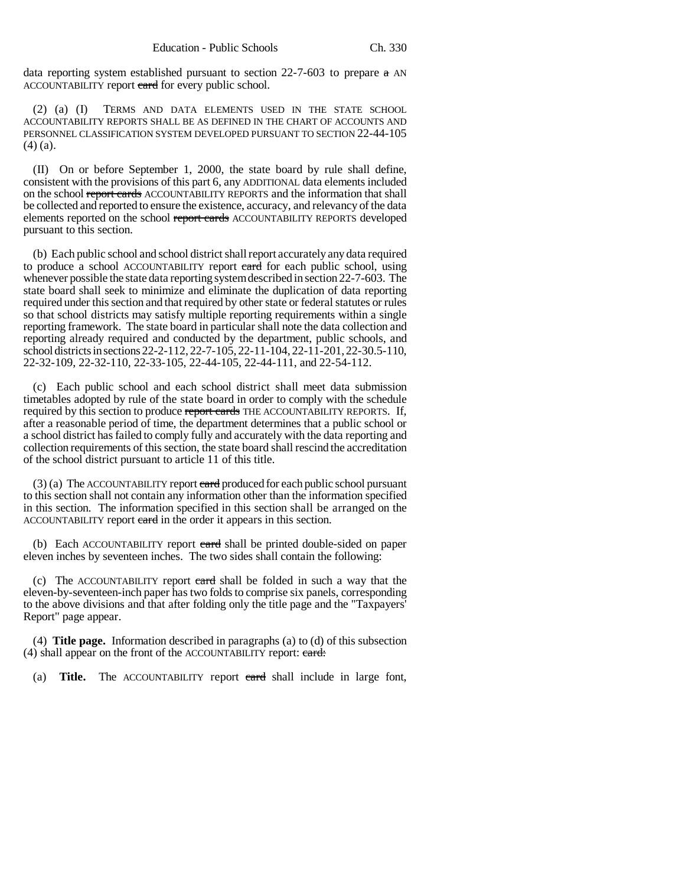data reporting system established pursuant to section 22-7-603 to prepare a AN ACCOUNTABILITY report eard for every public school.

(2) (a) (I) TERMS AND DATA ELEMENTS USED IN THE STATE SCHOOL ACCOUNTABILITY REPORTS SHALL BE AS DEFINED IN THE CHART OF ACCOUNTS AND PERSONNEL CLASSIFICATION SYSTEM DEVELOPED PURSUANT TO SECTION 22-44-105 (4) (a).

(II) On or before September 1, 2000, the state board by rule shall define, consistent with the provisions of this part 6, any ADDITIONAL data elements included on the school report cards ACCOUNTABILITY REPORTS and the information that shall be collected and reported to ensure the existence, accuracy, and relevancy of the data elements reported on the school report cards ACCOUNTABILITY REPORTS developed pursuant to this section.

(b) Each public school and school district shall report accurately any data required to produce a school ACCOUNTABILITY report eard for each public school, using whenever possible the state data reporting system described in section 22-7-603. The state board shall seek to minimize and eliminate the duplication of data reporting required under this section and that required by other state or federal statutes or rules so that school districts may satisfy multiple reporting requirements within a single reporting framework. The state board in particular shall note the data collection and reporting already required and conducted by the department, public schools, and school districts in sections 22-2-112, 22-7-105, 22-11-104, 22-11-201, 22-30.5-110, 22-32-109, 22-32-110, 22-33-105, 22-44-105, 22-44-111, and 22-54-112.

(c) Each public school and each school district shall meet data submission timetables adopted by rule of the state board in order to comply with the schedule required by this section to produce report cards THE ACCOUNTABILITY REPORTS. If, after a reasonable period of time, the department determines that a public school or a school district has failed to comply fully and accurately with the data reporting and collection requirements of this section, the state board shall rescind the accreditation of the school district pursuant to article 11 of this title.

 $(3)$  (a) The ACCOUNTABILITY report eard produced for each public school pursuant to this section shall not contain any information other than the information specified in this section. The information specified in this section shall be arranged on the ACCOUNTABILITY report card in the order it appears in this section.

(b) Each ACCOUNTABILITY report eard shall be printed double-sided on paper eleven inches by seventeen inches. The two sides shall contain the following:

(c) The ACCOUNTABILITY report card shall be folded in such a way that the eleven-by-seventeen-inch paper has two folds to comprise six panels, corresponding to the above divisions and that after folding only the title page and the "Taxpayers' Report" page appear.

(4) **Title page.** Information described in paragraphs (a) to (d) of this subsection (4) shall appear on the front of the ACCOUNTABILITY report: eard:

(a) **Title.** The ACCOUNTABILITY report card shall include in large font,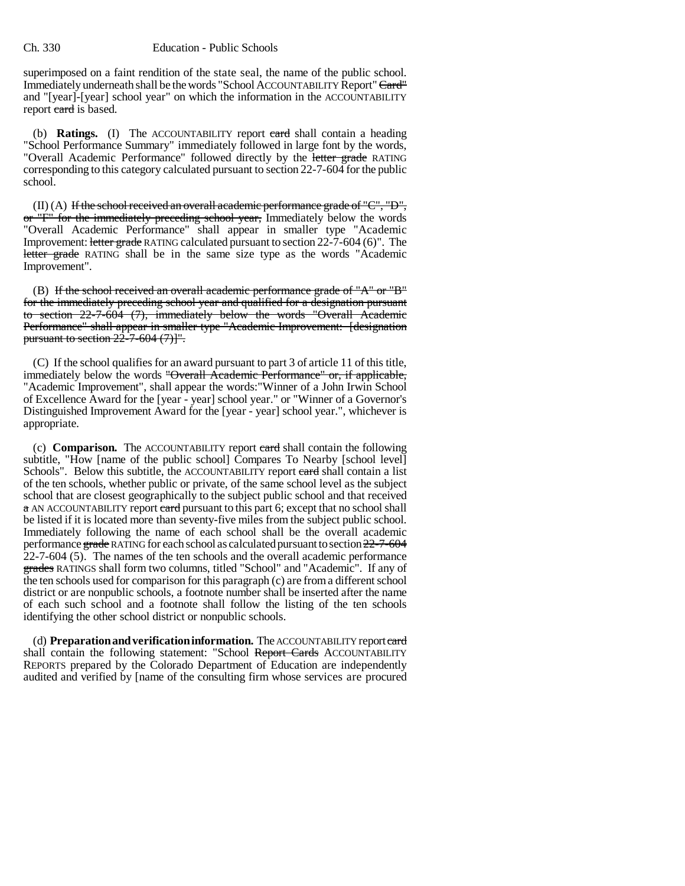### Ch. 330 Education - Public Schools

superimposed on a faint rendition of the state seal, the name of the public school. Immediately underneath shall be the words "School ACCOUNTABILITY Report" Card" and "[year]-[year] school year" on which the information in the ACCOUNTABILITY report eard is based.

(b) **Ratings.** (I) The ACCOUNTABILITY report card shall contain a heading "School Performance Summary" immediately followed in large font by the words, "Overall Academic Performance" followed directly by the letter grade RATING corresponding to this category calculated pursuant to section 22-7-604 for the public school.

 $(II)$  (A) If the school received an overall academic performance grade of "C", "D", or "F" for the immediately preceding school year, Immediately below the words "Overall Academic Performance" shall appear in smaller type "Academic Improvement: letter grade RATING calculated pursuant to section 22-7-604 (6)". The letter grade RATING shall be in the same size type as the words "Academic Improvement".

(B) If the school received an overall academic performance grade of "A" or "B" for the immediately preceding school year and qualified for a designation pursuant to section 22-7-604 (7), immediately below the words "Overall Academic Performance" shall appear in smaller type "Academic Improvement: [designation pursuant to section  $22\overline{-7}$ -604 (7)]".

(C) If the school qualifies for an award pursuant to part 3 of article 11 of this title, immediately below the words "Overall Academic Performance" or, if applicable, "Academic Improvement", shall appear the words:"Winner of a John Irwin School of Excellence Award for the [year - year] school year." or "Winner of a Governor's Distinguished Improvement Award for the [year - year] school year.", whichever is appropriate.

(c) **Comparison.** The ACCOUNTABILITY report card shall contain the following subtitle, "How [name of the public school] Compares To Nearby [school level] Schools". Below this subtitle, the ACCOUNTABILITY report eard shall contain a list of the ten schools, whether public or private, of the same school level as the subject school that are closest geographically to the subject public school and that received a AN ACCOUNTABILITY report eard pursuant to this part 6; except that no school shall be listed if it is located more than seventy-five miles from the subject public school. Immediately following the name of each school shall be the overall academic performance grade RATING for each school as calculated pursuant to section 22-7-604 22-7-604 (5). The names of the ten schools and the overall academic performance grades RATINGS shall form two columns, titled "School" and "Academic". If any of the ten schools used for comparison for this paragraph (c) are from a different school district or are nonpublic schools, a footnote number shall be inserted after the name of each such school and a footnote shall follow the listing of the ten schools identifying the other school district or nonpublic schools.

(d) **Preparation and verification information.** The ACCOUNTABILITY report card shall contain the following statement: "School Report Cards ACCOUNTABILITY REPORTS prepared by the Colorado Department of Education are independently audited and verified by [name of the consulting firm whose services are procured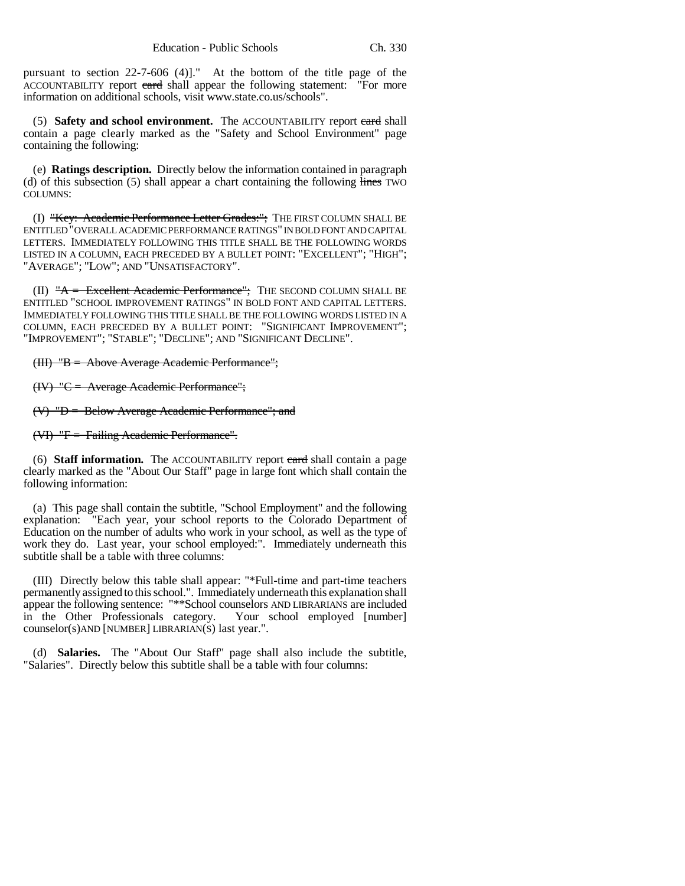pursuant to section 22-7-606 (4)]." At the bottom of the title page of the ACCOUNTABILITY report eard shall appear the following statement: "For more information on additional schools, visit www.state.co.us/schools".

(5) **Safety and school environment.** The ACCOUNTABILITY report card shall contain a page clearly marked as the "Safety and School Environment" page containing the following:

(e) **Ratings description.** Directly below the information contained in paragraph (d) of this subsection  $(5)$  shall appear a chart containing the following lines TWO COLUMNS:

(I) "Key: Academic Performance Letter Grades:"; THE FIRST COLUMN SHALL BE ENTITLED "OVERALL ACADEMIC PERFORMANCE RATINGS" IN BOLD FONT AND CAPITAL LETTERS. IMMEDIATELY FOLLOWING THIS TITLE SHALL BE THE FOLLOWING WORDS LISTED IN A COLUMN, EACH PRECEDED BY A BULLET POINT: "EXCELLENT"; "HIGH"; "AVERAGE"; "LOW"; AND "UNSATISFACTORY".

(II)  $A =$  Excellent Academic Performance"; THE SECOND COLUMN SHALL BE ENTITLED "SCHOOL IMPROVEMENT RATINGS" IN BOLD FONT AND CAPITAL LETTERS. IMMEDIATELY FOLLOWING THIS TITLE SHALL BE THE FOLLOWING WORDS LISTED IN A COLUMN, EACH PRECEDED BY A BULLET POINT: "SIGNIFICANT IMPROVEMENT"; "IMPROVEMENT"; "STABLE"; "DECLINE"; AND "SIGNIFICANT DECLINE".

## (III) "B = Above Average Academic Performance";

(IV) "C = Average Academic Performance";

 $(V)$  "D = Below Average Academic Performance"; and

(VI) "F = Failing Academic Performance".

(6) **Staff information.** The ACCOUNTABILITY report card shall contain a page clearly marked as the "About Our Staff" page in large font which shall contain the following information:

(a) This page shall contain the subtitle, "School Employment" and the following explanation: "Each year, your school reports to the Colorado Department of Education on the number of adults who work in your school, as well as the type of work they do. Last year, your school employed:". Immediately underneath this subtitle shall be a table with three columns:

(III) Directly below this table shall appear: "\*Full-time and part-time teachers permanently assigned to this school.". Immediately underneath this explanation shall appear the following sentence: "\*\*School counselors AND LIBRARIANS are included in the Other Professionals category. Your school employed [number] counselor(s)AND [NUMBER] LIBRARIAN(S) last year.".

(d) **Salaries.** The "About Our Staff" page shall also include the subtitle, "Salaries". Directly below this subtitle shall be a table with four columns: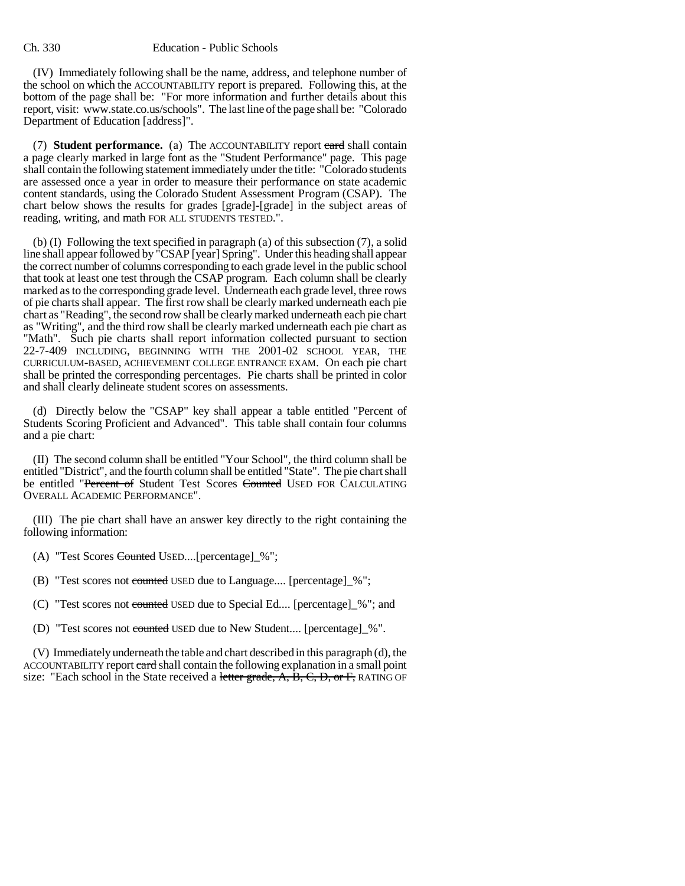(IV) Immediately following shall be the name, address, and telephone number of the school on which the ACCOUNTABILITY report is prepared. Following this, at the bottom of the page shall be: "For more information and further details about this report, visit: www.state.co.us/schools". The last line of the page shall be: "Colorado Department of Education [address]".

(7) **Student performance.** (a) The ACCOUNTABILITY report card shall contain a page clearly marked in large font as the "Student Performance" page. This page shall contain the following statement immediately under the title: "Colorado students are assessed once a year in order to measure their performance on state academic content standards, using the Colorado Student Assessment Program (CSAP). The chart below shows the results for grades [grade]-[grade] in the subject areas of reading, writing, and math FOR ALL STUDENTS TESTED.".

(b) (I) Following the text specified in paragraph (a) of this subsection (7), a solid line shall appear followed by "CSAP [year] Spring". Under this heading shall appear the correct number of columns corresponding to each grade level in the public school that took at least one test through the CSAP program. Each column shall be clearly marked as to the corresponding grade level. Underneath each grade level, three rows of pie charts shall appear. The first row shall be clearly marked underneath each pie chart as "Reading", the second row shall be clearly marked underneath each pie chart as "Writing", and the third row shall be clearly marked underneath each pie chart as "Math". Such pie charts shall report information collected pursuant to section 22-7-409 INCLUDING, BEGINNING WITH THE 2001-02 SCHOOL YEAR, THE CURRICULUM-BASED, ACHIEVEMENT COLLEGE ENTRANCE EXAM. On each pie chart shall be printed the corresponding percentages. Pie charts shall be printed in color and shall clearly delineate student scores on assessments.

(d) Directly below the "CSAP" key shall appear a table entitled "Percent of Students Scoring Proficient and Advanced". This table shall contain four columns and a pie chart:

(II) The second column shall be entitled "Your School", the third column shall be entitled "District", and the fourth column shall be entitled "State". The pie chart shall be entitled "Percent of Student Test Scores Counted USED FOR CALCULATING OVERALL ACADEMIC PERFORMANCE".

(III) The pie chart shall have an answer key directly to the right containing the following information:

(A) "Test Scores Counted USED....[percentage]\_%";

- (B) "Test scores not counted USED due to Language.... [percentage]\_%";
- (C) "Test scores not counted USED due to Special Ed.... [percentage]\_%"; and
- (D) "Test scores not counted USED due to New Student.... [percentage]\_%".

(V) Immediately underneath the table and chart described in this paragraph (d), the ACCOUNTABILITY report eard shall contain the following explanation in a small point size: "Each school in the State received a letter grade,  $A$ ,  $B$ ,  $C$ ,  $D$ , or  $F$ , RATING OF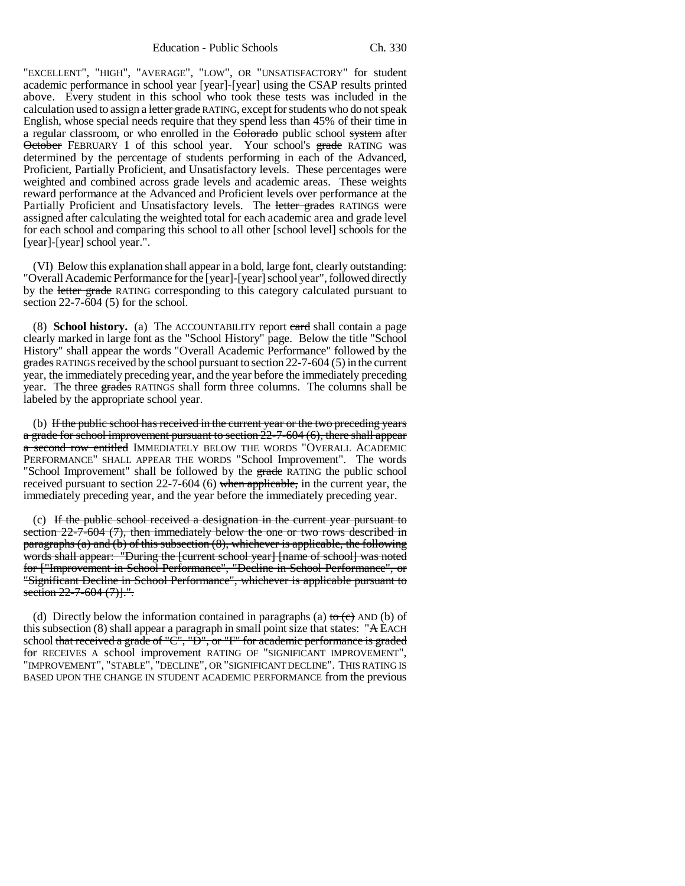Education - Public Schools Ch. 330

"EXCELLENT", "HIGH", "AVERAGE", "LOW", OR "UNSATISFACTORY" for student academic performance in school year [year]-[year] using the CSAP results printed above. Every student in this school who took these tests was included in the calculation used to assign a letter grade RATING, except for students who do not speak English, whose special needs require that they spend less than 45% of their time in a regular classroom, or who enrolled in the Colorado public school system after October FEBRUARY 1 of this school year. Your school's grade RATING was determined by the percentage of students performing in each of the Advanced, Proficient, Partially Proficient, and Unsatisfactory levels. These percentages were weighted and combined across grade levels and academic areas. These weights reward performance at the Advanced and Proficient levels over performance at the Partially Proficient and Unsatisfactory levels. The letter grades RATINGS were assigned after calculating the weighted total for each academic area and grade level for each school and comparing this school to all other [school level] schools for the [year]-[year] school year.".

(VI) Below this explanation shall appear in a bold, large font, clearly outstanding: "Overall Academic Performance for the [year]-[year] school year", followed directly by the letter grade RATING corresponding to this category calculated pursuant to section 22-7-604 (5) for the school.

(8) **School history.** (a) The ACCOUNTABILITY report card shall contain a page clearly marked in large font as the "School History" page. Below the title "School History" shall appear the words "Overall Academic Performance" followed by the grades RATINGS received by the school pursuant to section 22-7-604 (5) in the current year, the immediately preceding year, and the year before the immediately preceding year. The three grades RATINGS shall form three columns. The columns shall be labeled by the appropriate school year.

(b) If the public school has received in the current year or the two preceding years a grade for school improvement pursuant to section 22-7-604 (6), there shall appear a second row entitled IMMEDIATELY BELOW THE WORDS "OVERALL ACADEMIC PERFORMANCE" SHALL APPEAR THE WORDS "School Improvement". The words "School Improvement" shall be followed by the grade RATING the public school received pursuant to section 22-7-604 (6) when applicable, in the current year, the immediately preceding year, and the year before the immediately preceding year.

(c) If the public school received a designation in the current year pursuant to section 22-7-604 (7), then immediately below the one or two rows described in paragraphs (a) and (b) of this subsection (8), whichever is applicable, the following words shall appear: "During the [current school year] [name of school] was noted for ["Improvement in School Performance", "Decline in School Performance", or "Significant Decline in School Performance", whichever is applicable pursuant to section 22-7-604 (7).".

(d) Directly below the information contained in paragraphs (a) to  $(e)$  AND (b) of this subsection  $(8)$  shall appear a paragraph in small point size that states: "A EACH school that received a grade of "C", "D", or "F" for academic performance is graded for RECEIVES A school improvement RATING OF "SIGNIFICANT IMPROVEMENT", "IMPROVEMENT", "STABLE", "DECLINE", OR "SIGNIFICANT DECLINE". THIS RATING IS BASED UPON THE CHANGE IN STUDENT ACADEMIC PERFORMANCE from the previous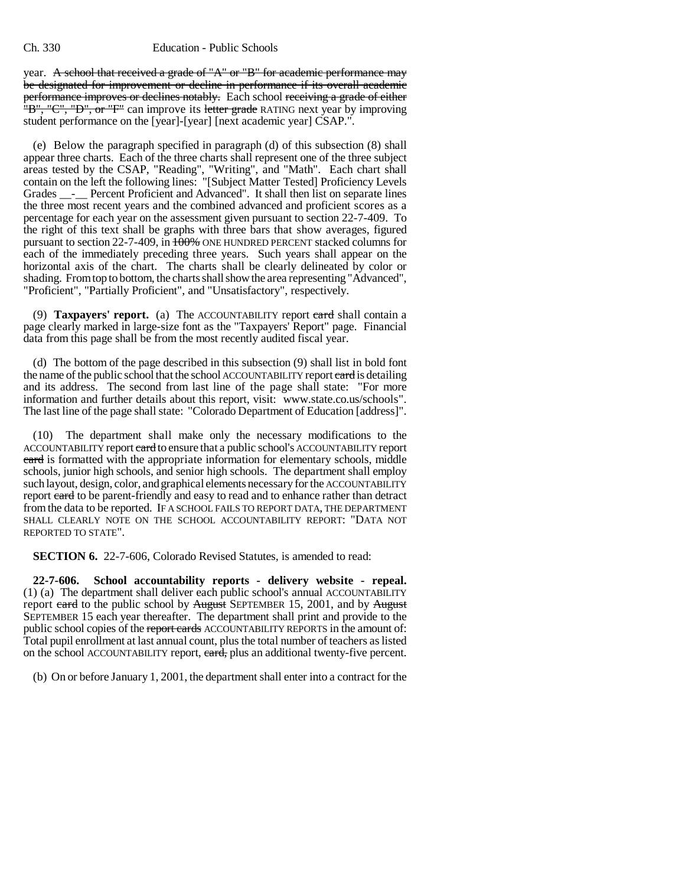year. A school that received a grade of "A" or "B" for academic performance may be designated for improvement or decline in performance if its overall academic performance improves or declines notably. Each school receiving a grade of either "B", "C", "D", or "F" can improve its letter grade RATING next year by improving student performance on the [year]-[year] [next academic year] CSAP.".

(e) Below the paragraph specified in paragraph (d) of this subsection (8) shall appear three charts. Each of the three charts shall represent one of the three subject areas tested by the CSAP, "Reading", "Writing", and "Math". Each chart shall contain on the left the following lines: "[Subject Matter Tested] Proficiency Levels Grades \_\_-\_\_ Percent Proficient and Advanced". It shall then list on separate lines the three most recent years and the combined advanced and proficient scores as a percentage for each year on the assessment given pursuant to section 22-7-409. To the right of this text shall be graphs with three bars that show averages, figured pursuant to section 22-7-409, in 100% ONE HUNDRED PERCENT stacked columns for each of the immediately preceding three years. Such years shall appear on the horizontal axis of the chart. The charts shall be clearly delineated by color or shading. From top to bottom, the charts shall show the area representing "Advanced", "Proficient", "Partially Proficient", and "Unsatisfactory", respectively.

(9) **Taxpayers' report.** (a) The ACCOUNTABILITY report card shall contain a page clearly marked in large-size font as the "Taxpayers' Report" page. Financial data from this page shall be from the most recently audited fiscal year.

(d) The bottom of the page described in this subsection (9) shall list in bold font the name of the public school that the school ACCOUNTABILITY report eard is detailing and its address. The second from last line of the page shall state: "For more information and further details about this report, visit: www.state.co.us/schools". The last line of the page shall state: "Colorado Department of Education [address]".

(10) The department shall make only the necessary modifications to the ACCOUNTABILITY report eard to ensure that a public school's ACCOUNTABILITY report card is formatted with the appropriate information for elementary schools, middle schools, junior high schools, and senior high schools. The department shall employ such layout, design, color, and graphical elements necessary for the ACCOUNTABILITY report card to be parent-friendly and easy to read and to enhance rather than detract from the data to be reported. IF A SCHOOL FAILS TO REPORT DATA, THE DEPARTMENT SHALL CLEARLY NOTE ON THE SCHOOL ACCOUNTABILITY REPORT: "DATA NOT REPORTED TO STATE".

**SECTION 6.** 22-7-606, Colorado Revised Statutes, is amended to read:

**22-7-606. School accountability reports - delivery website - repeal.** (1) (a) The department shall deliver each public school's annual ACCOUNTABILITY report card to the public school by August SEPTEMBER 15, 2001, and by August SEPTEMBER 15 each year thereafter. The department shall print and provide to the public school copies of the report cards ACCOUNTABILITY REPORTS in the amount of: Total pupil enrollment at last annual count, plus the total number of teachers as listed on the school ACCOUNTABILITY report, eard, plus an additional twenty-five percent.

(b) On or before January 1, 2001, the department shall enter into a contract for the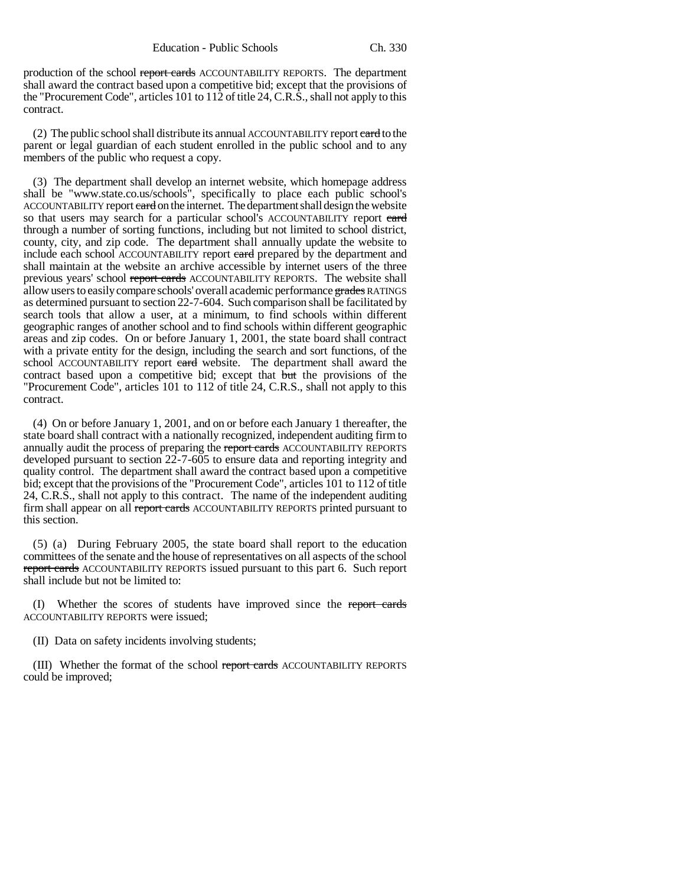production of the school report cards ACCOUNTABILITY REPORTS. The department shall award the contract based upon a competitive bid; except that the provisions of the "Procurement Code", articles 101 to 112 of title 24, C.R.S., shall not apply to this contract.

(2) The public school shall distribute its annual ACCOUNTABILITY report eard to the parent or legal guardian of each student enrolled in the public school and to any members of the public who request a copy.

(3) The department shall develop an internet website, which homepage address shall be "www.state.co.us/schools", specifically to place each public school's ACCOUNTABILITY report eard on the internet. The department shall design the website so that users may search for a particular school's ACCOUNTABILITY report card through a number of sorting functions, including but not limited to school district, county, city, and zip code. The department shall annually update the website to include each school ACCOUNTABILITY report eard prepared by the department and shall maintain at the website an archive accessible by internet users of the three previous years' school report cards ACCOUNTABILITY REPORTS. The website shall allow users to easily compare schools' overall academic performance grades RATINGS as determined pursuant to section 22-7-604. Such comparison shall be facilitated by search tools that allow a user, at a minimum, to find schools within different geographic ranges of another school and to find schools within different geographic areas and zip codes. On or before January 1, 2001, the state board shall contract with a private entity for the design, including the search and sort functions, of the school ACCOUNTABILITY report eard website. The department shall award the contract based upon a competitive bid; except that but the provisions of the "Procurement Code", articles 101 to 112 of title 24, C.R.S., shall not apply to this contract.

(4) On or before January 1, 2001, and on or before each January 1 thereafter, the state board shall contract with a nationally recognized, independent auditing firm to annually audit the process of preparing the report cards ACCOUNTABILITY REPORTS developed pursuant to section 22-7-605 to ensure data and reporting integrity and quality control. The department shall award the contract based upon a competitive bid; except that the provisions of the "Procurement Code", articles 101 to 112 of title 24, C.R.S., shall not apply to this contract. The name of the independent auditing firm shall appear on all report cards ACCOUNTABILITY REPORTS printed pursuant to this section.

(5) (a) During February 2005, the state board shall report to the education committees of the senate and the house of representatives on all aspects of the school report cards ACCOUNTABILITY REPORTS issued pursuant to this part 6. Such report shall include but not be limited to:

(I) Whether the scores of students have improved since the report cards ACCOUNTABILITY REPORTS were issued;

(II) Data on safety incidents involving students;

(III) Whether the format of the school report cards ACCOUNTABILITY REPORTS could be improved;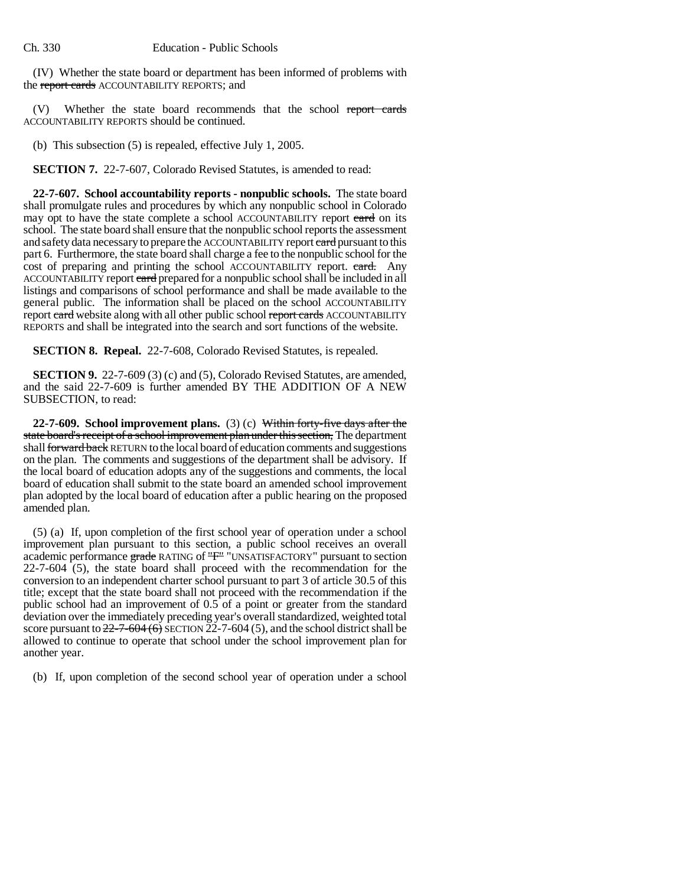(IV) Whether the state board or department has been informed of problems with the report cards ACCOUNTABILITY REPORTS; and

(V) Whether the state board recommends that the school report cards ACCOUNTABILITY REPORTS should be continued.

(b) This subsection (5) is repealed, effective July 1, 2005.

**SECTION 7.** 22-7-607, Colorado Revised Statutes, is amended to read:

**22-7-607. School accountability reports - nonpublic schools.** The state board shall promulgate rules and procedures by which any nonpublic school in Colorado may opt to have the state complete a school ACCOUNTABILITY report card on its school. The state board shall ensure that the nonpublic school reports the assessment and safety data necessary to prepare the ACCOUNTABILITY report early pursuant to this part 6. Furthermore, the state board shall charge a fee to the nonpublic school for the cost of preparing and printing the school ACCOUNTABILITY report. eard. Any ACCOUNTABILITY report card prepared for a nonpublic school shall be included in all listings and comparisons of school performance and shall be made available to the general public. The information shall be placed on the school ACCOUNTABILITY report card website along with all other public school report cards ACCOUNTABILITY REPORTS and shall be integrated into the search and sort functions of the website.

**SECTION 8. Repeal.** 22-7-608, Colorado Revised Statutes, is repealed.

**SECTION 9.** 22-7-609 (3) (c) and (5), Colorado Revised Statutes, are amended, and the said 22-7-609 is further amended BY THE ADDITION OF A NEW SUBSECTION, to read:

**22-7-609. School improvement plans.** (3) (c) Within forty-five days after the state board's receipt of a school improvement plan under this section, The department shall forward back RETURN to the local board of education comments and suggestions on the plan. The comments and suggestions of the department shall be advisory. If the local board of education adopts any of the suggestions and comments, the local board of education shall submit to the state board an amended school improvement plan adopted by the local board of education after a public hearing on the proposed amended plan.

(5) (a) If, upon completion of the first school year of operation under a school improvement plan pursuant to this section, a public school receives an overall academic performance grade RATING of "F" "UNSATISFACTORY" pursuant to section 22-7-604 (5), the state board shall proceed with the recommendation for the conversion to an independent charter school pursuant to part 3 of article 30.5 of this title; except that the state board shall not proceed with the recommendation if the public school had an improvement of 0.5 of a point or greater from the standard deviation over the immediately preceding year's overall standardized, weighted total score pursuant to  $22-7-604(6)$  SECTION 22-7-604 (5), and the school district shall be allowed to continue to operate that school under the school improvement plan for another year.

(b) If, upon completion of the second school year of operation under a school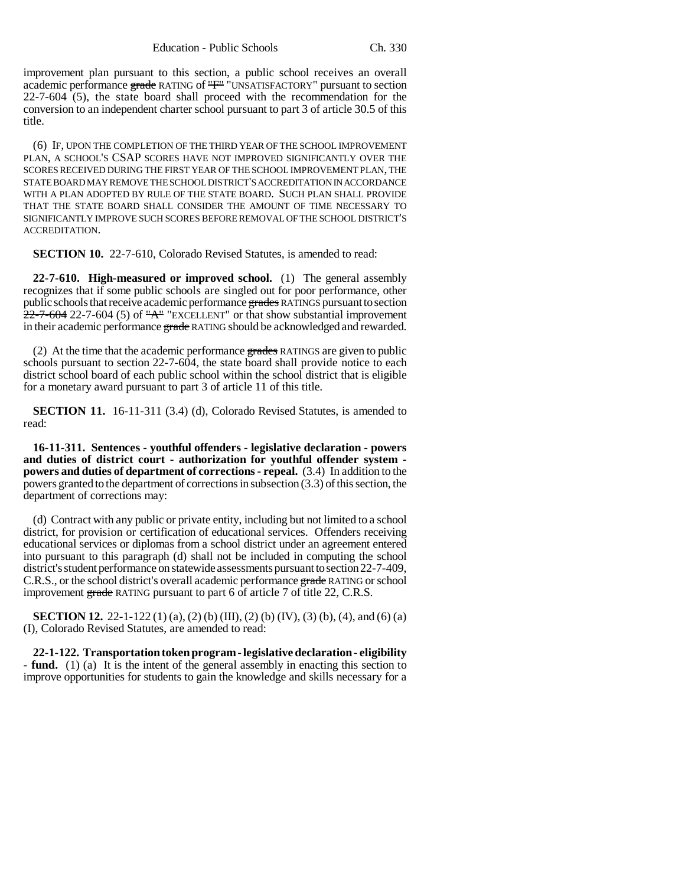improvement plan pursuant to this section, a public school receives an overall academic performance grade RATING of "F" "UNSATISFACTORY" pursuant to section 22-7-604 (5), the state board shall proceed with the recommendation for the conversion to an independent charter school pursuant to part 3 of article 30.5 of this title.

(6) IF, UPON THE COMPLETION OF THE THIRD YEAR OF THE SCHOOL IMPROVEMENT PLAN, A SCHOOL'S CSAP SCORES HAVE NOT IMPROVED SIGNIFICANTLY OVER THE SCORES RECEIVED DURING THE FIRST YEAR OF THE SCHOOL IMPROVEMENT PLAN, THE STATE BOARD MAY REMOVE THE SCHOOL DISTRICT'S ACCREDITATION IN ACCORDANCE WITH A PLAN ADOPTED BY RULE OF THE STATE BOARD. SUCH PLAN SHALL PROVIDE THAT THE STATE BOARD SHALL CONSIDER THE AMOUNT OF TIME NECESSARY TO SIGNIFICANTLY IMPROVE SUCH SCORES BEFORE REMOVAL OF THE SCHOOL DISTRICT'S ACCREDITATION.

**SECTION 10.** 22-7-610, Colorado Revised Statutes, is amended to read:

**22-7-610. High-measured or improved school.** (1) The general assembly recognizes that if some public schools are singled out for poor performance, other public schools that receive academic performance grades RATINGS pursuant to section  $22$ -7-604 22-7-604 (5) of "A" "EXCELLENT" or that show substantial improvement in their academic performance grade RATING should be acknowledged and rewarded.

(2) At the time that the academic performance  $\frac{1}{2}$  grades RATINGS are given to public schools pursuant to section 22-7-604, the state board shall provide notice to each district school board of each public school within the school district that is eligible for a monetary award pursuant to part 3 of article 11 of this title.

**SECTION 11.** 16-11-311 (3.4) (d), Colorado Revised Statutes, is amended to read:

**16-11-311. Sentences - youthful offenders - legislative declaration - powers and duties of district court - authorization for youthful offender system powers and duties of department of corrections - repeal.** (3.4) In addition to the powers granted to the department of corrections in subsection (3.3) of this section, the department of corrections may:

(d) Contract with any public or private entity, including but not limited to a school district, for provision or certification of educational services. Offenders receiving educational services or diplomas from a school district under an agreement entered into pursuant to this paragraph (d) shall not be included in computing the school district's student performance on statewide assessments pursuant to section 22-7-409, C.R.S., or the school district's overall academic performance grade RATING or school improvement grade RATING pursuant to part 6 of article 7 of title 22, C.R.S.

**SECTION 12.** 22-1-122 (1) (a), (2) (b) (III), (2) (b) (IV), (3) (b), (4), and (6) (a) (I), Colorado Revised Statutes, are amended to read:

**22-1-122. Transportation token program - legislative declaration - eligibility - fund.** (1) (a) It is the intent of the general assembly in enacting this section to improve opportunities for students to gain the knowledge and skills necessary for a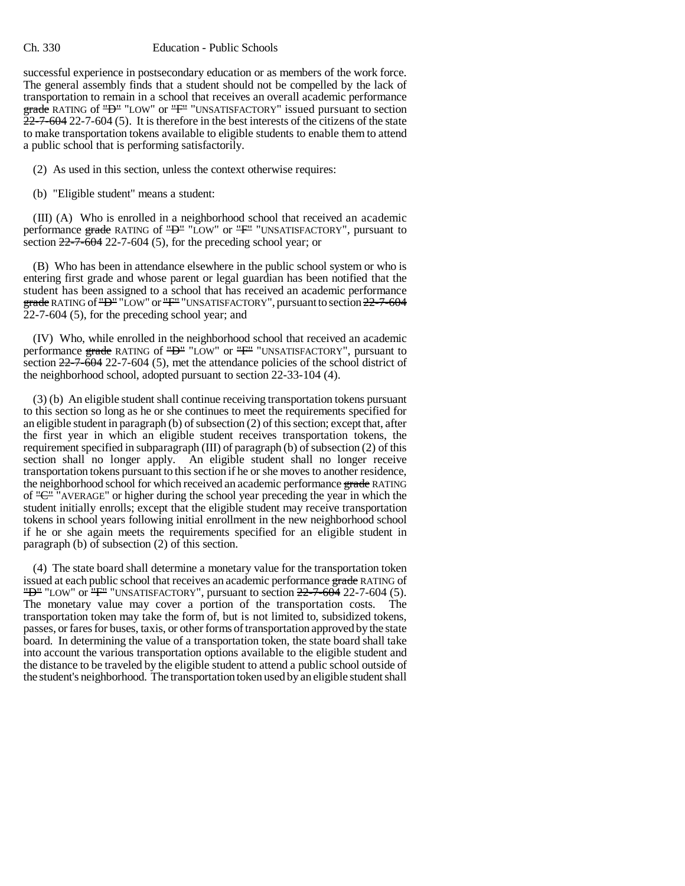### Ch. 330 Education - Public Schools

successful experience in postsecondary education or as members of the work force. The general assembly finds that a student should not be compelled by the lack of transportation to remain in a school that receives an overall academic performance grade RATING of "<del>D</del>" "LOW" or "<del>F"</del> "UNSATISFACTORY" issued pursuant to section 22-7-604 22-7-604 (5). It is therefore in the best interests of the citizens of the state to make transportation tokens available to eligible students to enable them to attend a public school that is performing satisfactorily.

(2) As used in this section, unless the context otherwise requires:

(b) "Eligible student" means a student:

(III) (A) Who is enrolled in a neighborhood school that received an academic performance grade RATING of "D" "LOW" or "F" "UNSATISFACTORY", pursuant to section  $22-7-604$  22-7-604 (5), for the preceding school year; or

(B) Who has been in attendance elsewhere in the public school system or who is entering first grade and whose parent or legal guardian has been notified that the student has been assigned to a school that has received an academic performance grade RATING of "D" "LOW" or "F" "UNSATISFACTORY", pursuant to section 22-7-604 22-7-604 (5), for the preceding school year; and

(IV) Who, while enrolled in the neighborhood school that received an academic performance grade RATING of "D" "LOW" or "F" "UNSATISFACTORY", pursuant to section  $22-7-604$  (5), met the attendance policies of the school district of the neighborhood school, adopted pursuant to section 22-33-104 (4).

(3) (b) An eligible student shall continue receiving transportation tokens pursuant to this section so long as he or she continues to meet the requirements specified for an eligible student in paragraph (b) of subsection (2) of this section; except that, after the first year in which an eligible student receives transportation tokens, the requirement specified in subparagraph (III) of paragraph (b) of subsection (2) of this section shall no longer apply. An eligible student shall no longer receive transportation tokens pursuant to this section if he or she moves to another residence, the neighborhood school for which received an academic performance grade RATING of " $C^{\prime\prime}$ " AVERAGE" or higher during the school year preceding the year in which the student initially enrolls; except that the eligible student may receive transportation tokens in school years following initial enrollment in the new neighborhood school if he or she again meets the requirements specified for an eligible student in paragraph (b) of subsection (2) of this section.

(4) The state board shall determine a monetary value for the transportation token issued at each public school that receives an academic performance grade RATING of " $D^{\mu}$ "LOW" or " $F^{\mu}$ "UNSATISFACTORY", pursuant to section  $22-7-604$  22-7-604 (5). The monetary value may cover a portion of the transportation costs. transportation token may take the form of, but is not limited to, subsidized tokens, passes, or fares for buses, taxis, or other forms of transportation approved by the state board. In determining the value of a transportation token, the state board shall take into account the various transportation options available to the eligible student and the distance to be traveled by the eligible student to attend a public school outside of the student's neighborhood. The transportation token used by an eligible student shall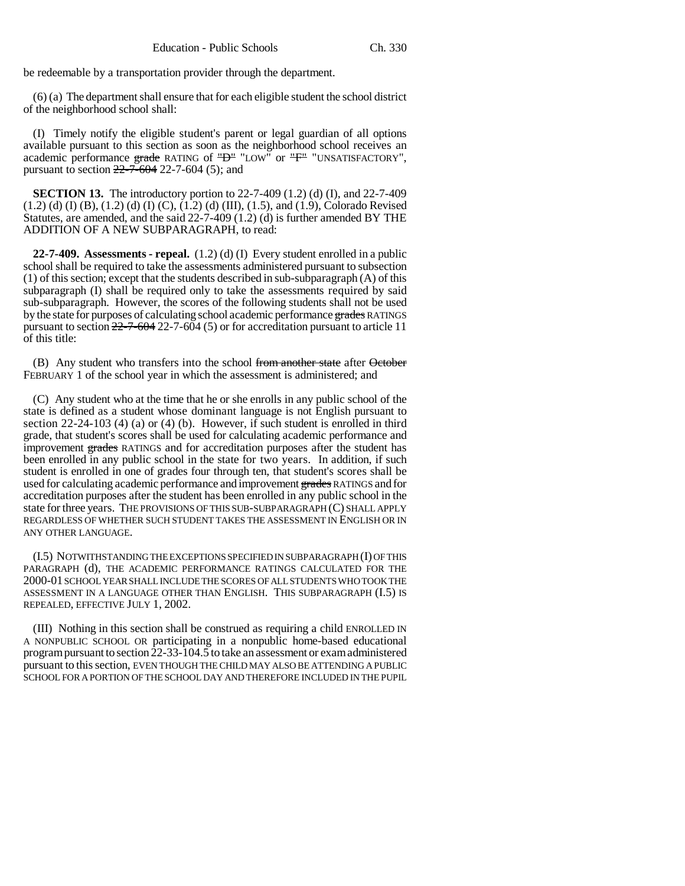be redeemable by a transportation provider through the department.

(6) (a) The department shall ensure that for each eligible student the school district of the neighborhood school shall:

(I) Timely notify the eligible student's parent or legal guardian of all options available pursuant to this section as soon as the neighborhood school receives an academic performance grade RATING of "D" "LOW" or "F" "UNSATISFACTORY", pursuant to section  $22 - 7 - 604$  22-7-604 (5); and

**SECTION 13.** The introductory portion to 22-7-409 (1.2) (d) (I), and 22-7-409  $(1.2)$  (d) (I) (B),  $(1.2)$  (d) (I) (C),  $(1.2)$  (d) (III),  $(1.5)$ , and  $(1.9)$ , Colorado Revised Statutes, are amended, and the said  $22-7-409$   $(1.2)$   $(d)$  is further amended BY THE ADDITION OF A NEW SUBPARAGRAPH, to read:

**22-7-409. Assessments - repeal.** (1.2) (d) (I) Every student enrolled in a public school shall be required to take the assessments administered pursuant to subsection (1) of this section; except that the students described in sub-subparagraph (A) of this subparagraph (I) shall be required only to take the assessments required by said sub-subparagraph. However, the scores of the following students shall not be used by the state for purposes of calculating school academic performance grades RATINGS pursuant to section 22-7-604 22-7-604 (5) or for accreditation pursuant to article 11 of this title:

(B) Any student who transfers into the school from another state after October FEBRUARY 1 of the school year in which the assessment is administered; and

(C) Any student who at the time that he or she enrolls in any public school of the state is defined as a student whose dominant language is not English pursuant to section 22-24-103 (4) (a) or (4) (b). However, if such student is enrolled in third grade, that student's scores shall be used for calculating academic performance and improvement grades RATINGS and for accreditation purposes after the student has been enrolled in any public school in the state for two years. In addition, if such student is enrolled in one of grades four through ten, that student's scores shall be used for calculating academic performance and improvement grades RATINGS and for accreditation purposes after the student has been enrolled in any public school in the state for three years. THE PROVISIONS OF THIS SUB-SUBPARAGRAPH (C) SHALL APPLY REGARDLESS OF WHETHER SUCH STUDENT TAKES THE ASSESSMENT IN ENGLISH OR IN ANY OTHER LANGUAGE.

(I.5) NOTWITHSTANDING THE EXCEPTIONS SPECIFIED IN SUBPARAGRAPH (I) OF THIS PARAGRAPH (d), THE ACADEMIC PERFORMANCE RATINGS CALCULATED FOR THE 2000-01 SCHOOL YEAR SHALL INCLUDE THE SCORES OF ALL STUDENTS WHO TOOK THE ASSESSMENT IN A LANGUAGE OTHER THAN ENGLISH. THIS SUBPARAGRAPH (I.5) IS REPEALED, EFFECTIVE JULY 1, 2002.

(III) Nothing in this section shall be construed as requiring a child ENROLLED IN A NONPUBLIC SCHOOL OR participating in a nonpublic home-based educational program pursuant to section  $\bar{2}2$ -33-104.5 to take an assessment or exam administered pursuant to this section, EVEN THOUGH THE CHILD MAY ALSO BE ATTENDING A PUBLIC SCHOOL FOR A PORTION OF THE SCHOOL DAY AND THEREFORE INCLUDED IN THE PUPIL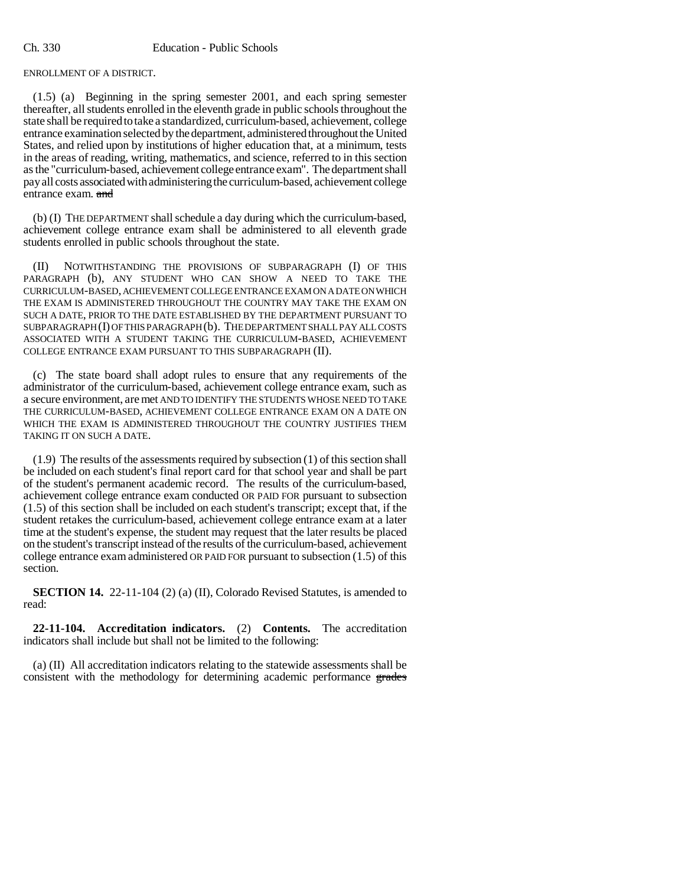ENROLLMENT OF A DISTRICT.

(1.5) (a) Beginning in the spring semester 2001, and each spring semester thereafter, all students enrolled in the eleventh grade in public schools throughout the state shall be required to take a standardized, curriculum-based, achievement, college entrance examination selected by the department, administered throughout the United States, and relied upon by institutions of higher education that, at a minimum, tests in the areas of reading, writing, mathematics, and science, referred to in this section as the "curriculum-based, achievement college entrance exam". The department shall pay all costs associated with administering the curriculum-based, achievement college entrance exam. and

(b) (I) THE DEPARTMENT shall schedule a day during which the curriculum-based, achievement college entrance exam shall be administered to all eleventh grade students enrolled in public schools throughout the state.

(II) NOTWITHSTANDING THE PROVISIONS OF SUBPARAGRAPH (I) OF THIS PARAGRAPH (b), ANY STUDENT WHO CAN SHOW A NEED TO TAKE THE CURRICULUM-BASED, ACHIEVEMENT COLLEGE ENTRANCE EXAM ON A DATE ON WHICH THE EXAM IS ADMINISTERED THROUGHOUT THE COUNTRY MAY TAKE THE EXAM ON SUCH A DATE, PRIOR TO THE DATE ESTABLISHED BY THE DEPARTMENT PURSUANT TO SUBPARAGRAPH (I) OF THIS PARAGRAPH (b). THE DEPARTMENT SHALL PAY ALL COSTS ASSOCIATED WITH A STUDENT TAKING THE CURRICULUM-BASED, ACHIEVEMENT COLLEGE ENTRANCE EXAM PURSUANT TO THIS SUBPARAGRAPH (II).

(c) The state board shall adopt rules to ensure that any requirements of the administrator of the curriculum-based, achievement college entrance exam, such as a secure environment, are met AND TO IDENTIFY THE STUDENTS WHOSE NEED TO TAKE THE CURRICULUM-BASED, ACHIEVEMENT COLLEGE ENTRANCE EXAM ON A DATE ON WHICH THE EXAM IS ADMINISTERED THROUGHOUT THE COUNTRY JUSTIFIES THEM TAKING IT ON SUCH A DATE.

(1.9) The results of the assessments required by subsection (1) of this section shall be included on each student's final report card for that school year and shall be part of the student's permanent academic record. The results of the curriculum-based, achievement college entrance exam conducted OR PAID FOR pursuant to subsection (1.5) of this section shall be included on each student's transcript; except that, if the student retakes the curriculum-based, achievement college entrance exam at a later time at the student's expense, the student may request that the later results be placed on the student's transcript instead of the results of the curriculum-based, achievement college entrance exam administered OR PAID FOR pursuant to subsection (1.5) of this section.

**SECTION 14.** 22-11-104 (2) (a) (II), Colorado Revised Statutes, is amended to read:

**22-11-104. Accreditation indicators.** (2) **Contents.** The accreditation indicators shall include but shall not be limited to the following:

(a) (II) All accreditation indicators relating to the statewide assessments shall be consistent with the methodology for determining academic performance grades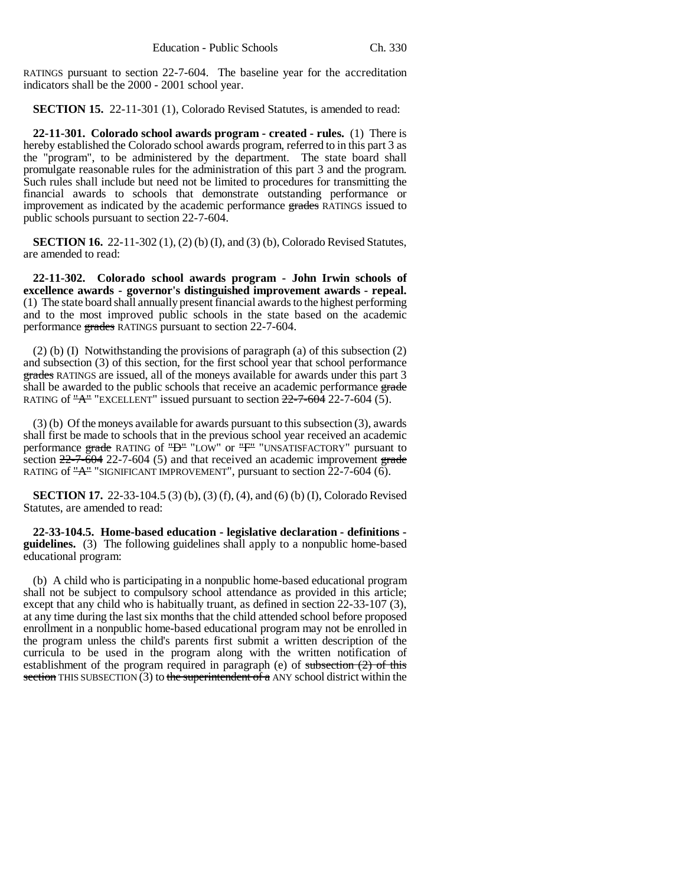RATINGS pursuant to section 22-7-604. The baseline year for the accreditation indicators shall be the 2000 - 2001 school year.

**SECTION 15.** 22-11-301 (1), Colorado Revised Statutes, is amended to read:

**22-11-301. Colorado school awards program - created - rules.** (1) There is hereby established the Colorado school awards program, referred to in this part 3 as the "program", to be administered by the department. The state board shall promulgate reasonable rules for the administration of this part 3 and the program. Such rules shall include but need not be limited to procedures for transmitting the financial awards to schools that demonstrate outstanding performance or improvement as indicated by the academic performance grades RATINGS issued to public schools pursuant to section 22-7-604.

**SECTION 16.** 22-11-302 (1), (2) (b) (I), and (3) (b), Colorado Revised Statutes, are amended to read:

**22-11-302. Colorado school awards program - John Irwin schools of excellence awards - governor's distinguished improvement awards - repeal.** (1) The state board shall annually present financial awards to the highest performing and to the most improved public schools in the state based on the academic performance grades RATINGS pursuant to section 22-7-604.

 $(2)$  (b) (I) Notwithstanding the provisions of paragraph (a) of this subsection  $(2)$ and subsection (3) of this section, for the first school year that school performance grades RATINGS are issued, all of the moneys available for awards under this part 3 shall be awarded to the public schools that receive an academic performance grade RATING of " $\mathbf{A}$ " "EXCELLENT" issued pursuant to section  $22$ -7-604 22-7-604 (5).

(3) (b) Of the moneys available for awards pursuant to this subsection (3), awards shall first be made to schools that in the previous school year received an academic performance grade RATING of "D" "LOW" or "F" "UNSATISFACTORY" pursuant to section  $22-7-604$  22-7-604 (5) and that received an academic improvement grade RATING of  $A^{\prime\prime}$  "SIGNIFICANT IMPROVEMENT", pursuant to section  $22$ -7-604 (6).

**SECTION 17.** 22-33-104.5 (3) (b), (3) (f), (4), and (6) (b) (I), Colorado Revised Statutes, are amended to read:

**22-33-104.5. Home-based education - legislative declaration - definitions guidelines.** (3) The following guidelines shall apply to a nonpublic home-based educational program:

(b) A child who is participating in a nonpublic home-based educational program shall not be subject to compulsory school attendance as provided in this article; except that any child who is habitually truant, as defined in section 22-33-107 (3), at any time during the last six months that the child attended school before proposed enrollment in a nonpublic home-based educational program may not be enrolled in the program unless the child's parents first submit a written description of the curricula to be used in the program along with the written notification of establishment of the program required in paragraph (e) of subsection  $(2)$  of this section THIS SUBSECTION  $(3)$  to the superintendent of a ANY school district within the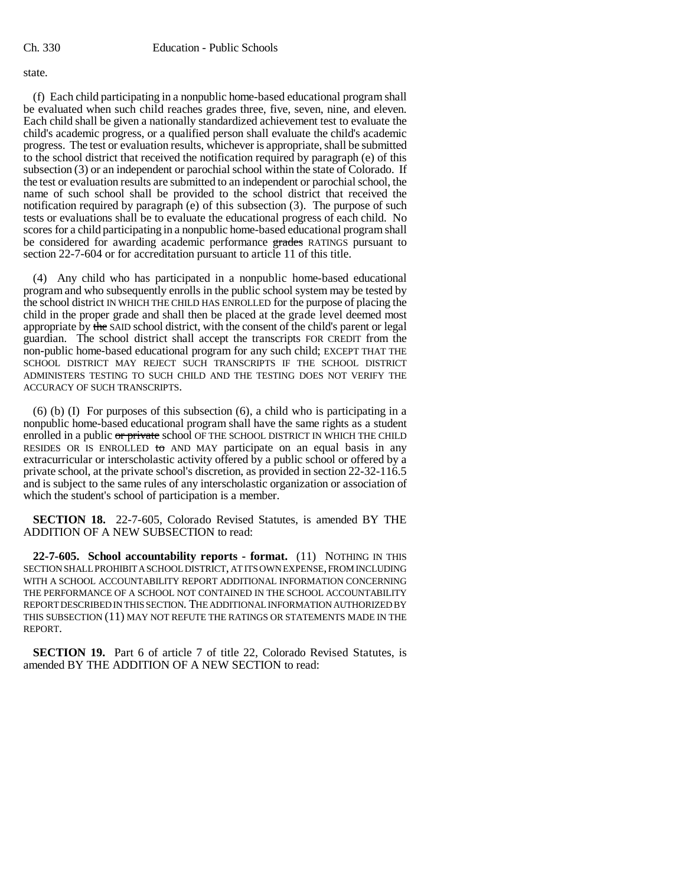### state.

(f) Each child participating in a nonpublic home-based educational program shall be evaluated when such child reaches grades three, five, seven, nine, and eleven. Each child shall be given a nationally standardized achievement test to evaluate the child's academic progress, or a qualified person shall evaluate the child's academic progress. The test or evaluation results, whichever is appropriate, shall be submitted to the school district that received the notification required by paragraph (e) of this subsection (3) or an independent or parochial school within the state of Colorado. If the test or evaluation results are submitted to an independent or parochial school, the name of such school shall be provided to the school district that received the notification required by paragraph (e) of this subsection (3). The purpose of such tests or evaluations shall be to evaluate the educational progress of each child. No scores for a child participating in a nonpublic home-based educational program shall be considered for awarding academic performance grades RATINGS pursuant to section 22-7-604 or for accreditation pursuant to article 11 of this title.

(4) Any child who has participated in a nonpublic home-based educational program and who subsequently enrolls in the public school system may be tested by the school district IN WHICH THE CHILD HAS ENROLLED for the purpose of placing the child in the proper grade and shall then be placed at the grade level deemed most appropriate by the SAID school district, with the consent of the child's parent or legal guardian. The school district shall accept the transcripts FOR CREDIT from the non-public home-based educational program for any such child; EXCEPT THAT THE SCHOOL DISTRICT MAY REJECT SUCH TRANSCRIPTS IF THE SCHOOL DISTRICT ADMINISTERS TESTING TO SUCH CHILD AND THE TESTING DOES NOT VERIFY THE ACCURACY OF SUCH TRANSCRIPTS.

(6) (b) (I) For purposes of this subsection (6), a child who is participating in a nonpublic home-based educational program shall have the same rights as a student enrolled in a public or private school OF THE SCHOOL DISTRICT IN WHICH THE CHILD RESIDES OR IS ENROLLED to AND MAY participate on an equal basis in any extracurricular or interscholastic activity offered by a public school or offered by a private school, at the private school's discretion, as provided in section 22-32-116.5 and is subject to the same rules of any interscholastic organization or association of which the student's school of participation is a member.

**SECTION 18.** 22-7-605, Colorado Revised Statutes, is amended BY THE ADDITION OF A NEW SUBSECTION to read:

**22-7-605. School accountability reports - format.** (11) NOTHING IN THIS SECTION SHALL PROHIBIT A SCHOOL DISTRICT, AT ITS OWN EXPENSE, FROM INCLUDING WITH A SCHOOL ACCOUNTABILITY REPORT ADDITIONAL INFORMATION CONCERNING THE PERFORMANCE OF A SCHOOL NOT CONTAINED IN THE SCHOOL ACCOUNTABILITY REPORT DESCRIBED IN THIS SECTION. THE ADDITIONAL INFORMATION AUTHORIZED BY THIS SUBSECTION (11) MAY NOT REFUTE THE RATINGS OR STATEMENTS MADE IN THE REPORT.

**SECTION 19.** Part 6 of article 7 of title 22, Colorado Revised Statutes, is amended BY THE ADDITION OF A NEW SECTION to read: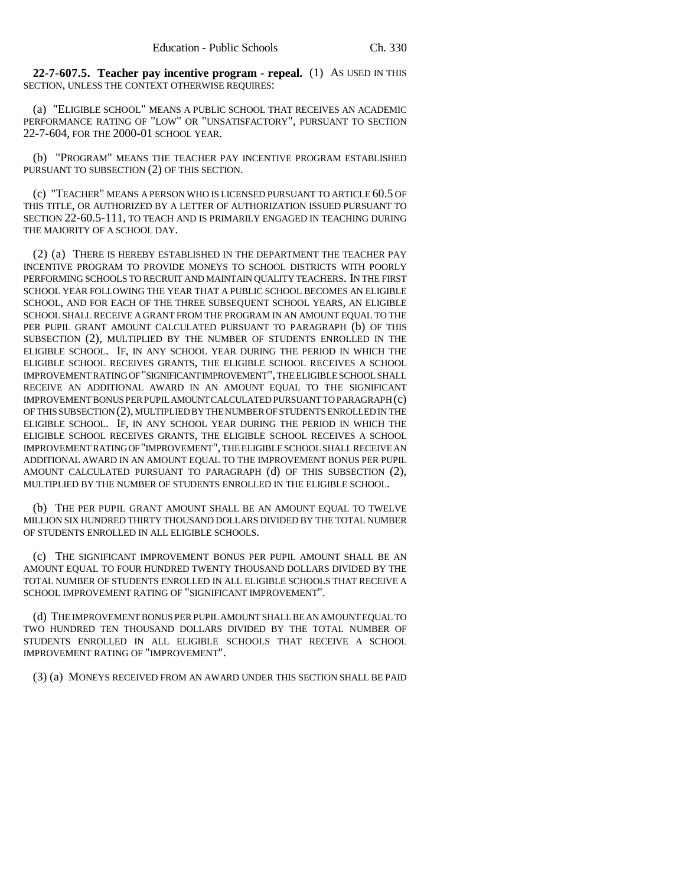**22-7-607.5. Teacher pay incentive program - repeal.** (1) AS USED IN THIS SECTION, UNLESS THE CONTEXT OTHERWISE REQUIRES:

(a) "ELIGIBLE SCHOOL" MEANS A PUBLIC SCHOOL THAT RECEIVES AN ACADEMIC PERFORMANCE RATING OF "LOW" OR "UNSATISFACTORY", PURSUANT TO SECTION 22-7-604, FOR THE 2000-01 SCHOOL YEAR.

(b) "PROGRAM" MEANS THE TEACHER PAY INCENTIVE PROGRAM ESTABLISHED PURSUANT TO SUBSECTION (2) OF THIS SECTION.

(c) "TEACHER" MEANS A PERSON WHO IS LICENSED PURSUANT TO ARTICLE 60.5 OF THIS TITLE, OR AUTHORIZED BY A LETTER OF AUTHORIZATION ISSUED PURSUANT TO SECTION 22-60.5-111, TO TEACH AND IS PRIMARILY ENGAGED IN TEACHING DURING THE MAJORITY OF A SCHOOL DAY.

(2) (a) THERE IS HEREBY ESTABLISHED IN THE DEPARTMENT THE TEACHER PAY INCENTIVE PROGRAM TO PROVIDE MONEYS TO SCHOOL DISTRICTS WITH POORLY PERFORMING SCHOOLS TO RECRUIT AND MAINTAIN QUALITY TEACHERS. IN THE FIRST SCHOOL YEAR FOLLOWING THE YEAR THAT A PUBLIC SCHOOL BECOMES AN ELIGIBLE SCHOOL, AND FOR EACH OF THE THREE SUBSEQUENT SCHOOL YEARS, AN ELIGIBLE SCHOOL SHALL RECEIVE A GRANT FROM THE PROGRAM IN AN AMOUNT EQUAL TO THE PER PUPIL GRANT AMOUNT CALCULATED PURSUANT TO PARAGRAPH (b) OF THIS SUBSECTION (2), MULTIPLIED BY THE NUMBER OF STUDENTS ENROLLED IN THE ELIGIBLE SCHOOL. IF, IN ANY SCHOOL YEAR DURING THE PERIOD IN WHICH THE ELIGIBLE SCHOOL RECEIVES GRANTS, THE ELIGIBLE SCHOOL RECEIVES A SCHOOL IMPROVEMENT RATING OF "SIGNIFICANT IMPROVEMENT", THE ELIGIBLE SCHOOL SHALL RECEIVE AN ADDITIONAL AWARD IN AN AMOUNT EQUAL TO THE SIGNIFICANT IMPROVEMENT BONUS PER PUPIL AMOUNT CALCULATED PURSUANT TO PARAGRAPH (c) OF THIS SUBSECTION (2), MULTIPLIED BY THE NUMBER OF STUDENTS ENROLLED IN THE ELIGIBLE SCHOOL. IF, IN ANY SCHOOL YEAR DURING THE PERIOD IN WHICH THE ELIGIBLE SCHOOL RECEIVES GRANTS, THE ELIGIBLE SCHOOL RECEIVES A SCHOOL IMPROVEMENT RATING OF "IMPROVEMENT", THE ELIGIBLE SCHOOL SHALL RECEIVE AN ADDITIONAL AWARD IN AN AMOUNT EQUAL TO THE IMPROVEMENT BONUS PER PUPIL AMOUNT CALCULATED PURSUANT TO PARAGRAPH (d) OF THIS SUBSECTION (2), MULTIPLIED BY THE NUMBER OF STUDENTS ENROLLED IN THE ELIGIBLE SCHOOL.

(b) THE PER PUPIL GRANT AMOUNT SHALL BE AN AMOUNT EQUAL TO TWELVE MILLION SIX HUNDRED THIRTY THOUSAND DOLLARS DIVIDED BY THE TOTAL NUMBER OF STUDENTS ENROLLED IN ALL ELIGIBLE SCHOOLS.

(c) THE SIGNIFICANT IMPROVEMENT BONUS PER PUPIL AMOUNT SHALL BE AN AMOUNT EQUAL TO FOUR HUNDRED TWENTY THOUSAND DOLLARS DIVIDED BY THE TOTAL NUMBER OF STUDENTS ENROLLED IN ALL ELIGIBLE SCHOOLS THAT RECEIVE A SCHOOL IMPROVEMENT RATING OF "SIGNIFICANT IMPROVEMENT".

(d) THE IMPROVEMENT BONUS PER PUPIL AMOUNT SHALL BE AN AMOUNT EQUAL TO TWO HUNDRED TEN THOUSAND DOLLARS DIVIDED BY THE TOTAL NUMBER OF STUDENTS ENROLLED IN ALL ELIGIBLE SCHOOLS THAT RECEIVE A SCHOOL IMPROVEMENT RATING OF "IMPROVEMENT".

(3) (a) MONEYS RECEIVED FROM AN AWARD UNDER THIS SECTION SHALL BE PAID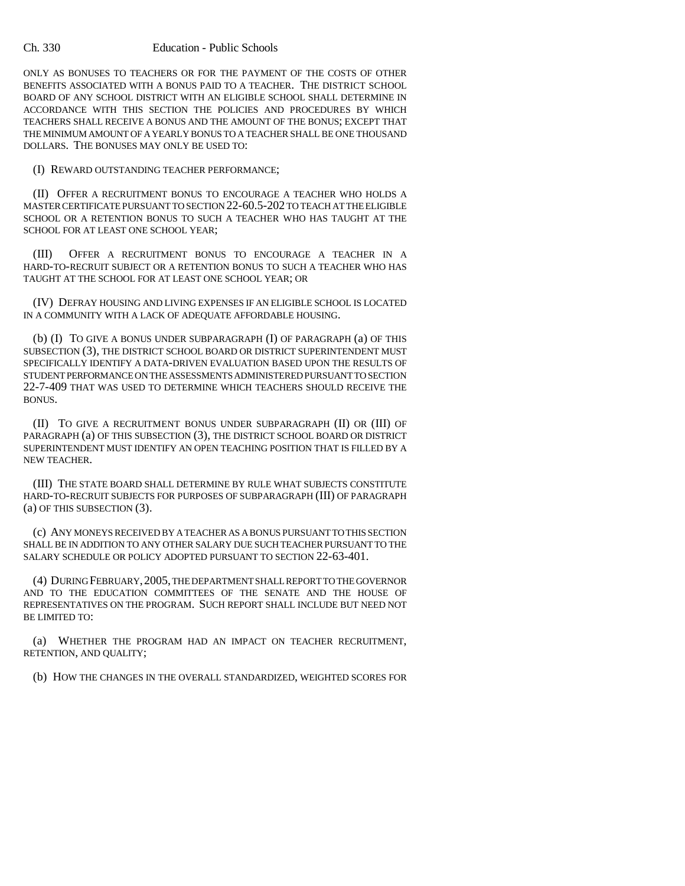#### Ch. 330 Education - Public Schools

ONLY AS BONUSES TO TEACHERS OR FOR THE PAYMENT OF THE COSTS OF OTHER BENEFITS ASSOCIATED WITH A BONUS PAID TO A TEACHER. THE DISTRICT SCHOOL BOARD OF ANY SCHOOL DISTRICT WITH AN ELIGIBLE SCHOOL SHALL DETERMINE IN ACCORDANCE WITH THIS SECTION THE POLICIES AND PROCEDURES BY WHICH TEACHERS SHALL RECEIVE A BONUS AND THE AMOUNT OF THE BONUS; EXCEPT THAT THE MINIMUM AMOUNT OF A YEARLY BONUS TO A TEACHER SHALL BE ONE THOUSAND DOLLARS. THE BONUSES MAY ONLY BE USED TO:

(I) REWARD OUTSTANDING TEACHER PERFORMANCE;

(II) OFFER A RECRUITMENT BONUS TO ENCOURAGE A TEACHER WHO HOLDS A MASTER CERTIFICATE PURSUANT TO SECTION 22-60.5-202 TO TEACH AT THE ELIGIBLE SCHOOL OR A RETENTION BONUS TO SUCH A TEACHER WHO HAS TAUGHT AT THE SCHOOL FOR AT LEAST ONE SCHOOL YEAR;

(III) OFFER A RECRUITMENT BONUS TO ENCOURAGE A TEACHER IN A HARD-TO-RECRUIT SUBJECT OR A RETENTION BONUS TO SUCH A TEACHER WHO HAS TAUGHT AT THE SCHOOL FOR AT LEAST ONE SCHOOL YEAR; OR

(IV) DEFRAY HOUSING AND LIVING EXPENSES IF AN ELIGIBLE SCHOOL IS LOCATED IN A COMMUNITY WITH A LACK OF ADEQUATE AFFORDABLE HOUSING.

(b) (I) TO GIVE A BONUS UNDER SUBPARAGRAPH (I) OF PARAGRAPH (a) OF THIS SUBSECTION (3), THE DISTRICT SCHOOL BOARD OR DISTRICT SUPERINTENDENT MUST SPECIFICALLY IDENTIFY A DATA-DRIVEN EVALUATION BASED UPON THE RESULTS OF STUDENT PERFORMANCE ON THE ASSESSMENTS ADMINISTERED PURSUANT TO SECTION 22-7-409 THAT WAS USED TO DETERMINE WHICH TEACHERS SHOULD RECEIVE THE BONUS.

(II) TO GIVE A RECRUITMENT BONUS UNDER SUBPARAGRAPH (II) OR (III) OF PARAGRAPH (a) OF THIS SUBSECTION (3), THE DISTRICT SCHOOL BOARD OR DISTRICT SUPERINTENDENT MUST IDENTIFY AN OPEN TEACHING POSITION THAT IS FILLED BY A NEW TEACHER.

(III) THE STATE BOARD SHALL DETERMINE BY RULE WHAT SUBJECTS CONSTITUTE HARD-TO-RECRUIT SUBJECTS FOR PURPOSES OF SUBPARAGRAPH (III) OF PARAGRAPH (a) OF THIS SUBSECTION (3).

(c) ANY MONEYS RECEIVED BY A TEACHER AS A BONUS PURSUANT TO THIS SECTION SHALL BE IN ADDITION TO ANY OTHER SALARY DUE SUCH TEACHER PURSUANT TO THE SALARY SCHEDULE OR POLICY ADOPTED PURSUANT TO SECTION 22-63-401.

(4) DURING FEBRUARY,2005, THE DEPARTMENT SHALL REPORT TO THE GOVERNOR AND TO THE EDUCATION COMMITTEES OF THE SENATE AND THE HOUSE OF REPRESENTATIVES ON THE PROGRAM. SUCH REPORT SHALL INCLUDE BUT NEED NOT BE LIMITED TO:

(a) WHETHER THE PROGRAM HAD AN IMPACT ON TEACHER RECRUITMENT, RETENTION, AND QUALITY;

(b) HOW THE CHANGES IN THE OVERALL STANDARDIZED, WEIGHTED SCORES FOR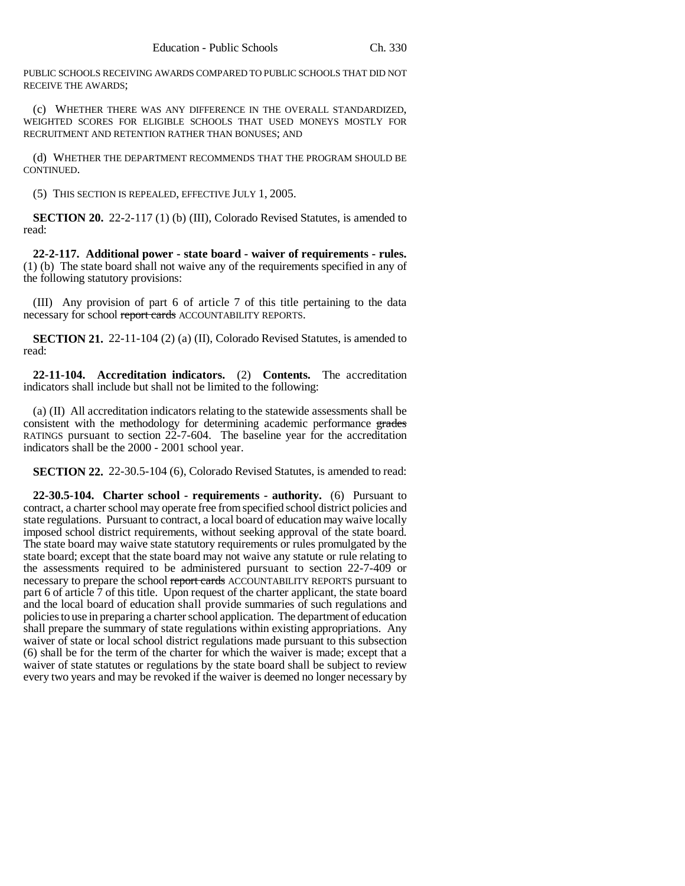PUBLIC SCHOOLS RECEIVING AWARDS COMPARED TO PUBLIC SCHOOLS THAT DID NOT RECEIVE THE AWARDS;

(c) WHETHER THERE WAS ANY DIFFERENCE IN THE OVERALL STANDARDIZED, WEIGHTED SCORES FOR ELIGIBLE SCHOOLS THAT USED MONEYS MOSTLY FOR RECRUITMENT AND RETENTION RATHER THAN BONUSES; AND

(d) WHETHER THE DEPARTMENT RECOMMENDS THAT THE PROGRAM SHOULD BE CONTINUED.

(5) THIS SECTION IS REPEALED, EFFECTIVE JULY 1, 2005.

**SECTION 20.** 22-2-117 (1) (b) (III), Colorado Revised Statutes, is amended to read:

**22-2-117. Additional power - state board - waiver of requirements - rules.** (1) (b) The state board shall not waive any of the requirements specified in any of the following statutory provisions:

(III) Any provision of part 6 of article 7 of this title pertaining to the data necessary for school report cards ACCOUNTABILITY REPORTS.

**SECTION 21.** 22-11-104 (2) (a) (II), Colorado Revised Statutes, is amended to read:

**22-11-104. Accreditation indicators.** (2) **Contents.** The accreditation indicators shall include but shall not be limited to the following:

(a) (II) All accreditation indicators relating to the statewide assessments shall be consistent with the methodology for determining academic performance grades RATINGS pursuant to section 22-7-604. The baseline year for the accreditation indicators shall be the 2000 - 2001 school year.

**SECTION 22.** 22-30.5-104 (6), Colorado Revised Statutes, is amended to read:

**22-30.5-104. Charter school - requirements - authority.** (6) Pursuant to contract, a charter school may operate free from specified school district policies and state regulations. Pursuant to contract, a local board of education may waive locally imposed school district requirements, without seeking approval of the state board. The state board may waive state statutory requirements or rules promulgated by the state board; except that the state board may not waive any statute or rule relating to the assessments required to be administered pursuant to section 22-7-409 or necessary to prepare the school report cards ACCOUNTABILITY REPORTS pursuant to part 6 of article 7 of this title. Upon request of the charter applicant, the state board and the local board of education shall provide summaries of such regulations and policies to use in preparing a charter school application. The department of education shall prepare the summary of state regulations within existing appropriations. Any waiver of state or local school district regulations made pursuant to this subsection (6) shall be for the term of the charter for which the waiver is made; except that a waiver of state statutes or regulations by the state board shall be subject to review every two years and may be revoked if the waiver is deemed no longer necessary by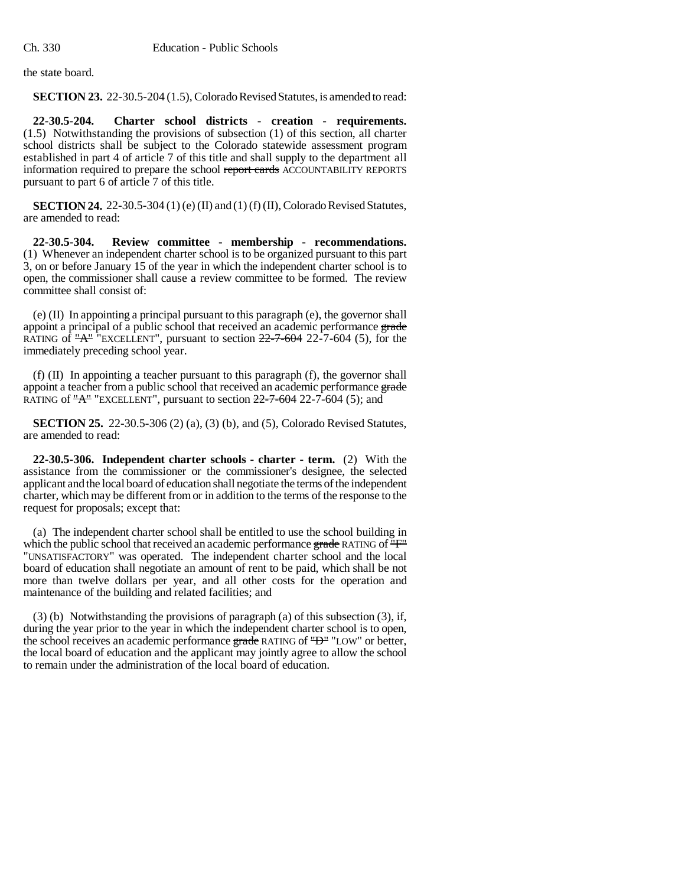the state board.

**SECTION 23.** 22-30.5-204 (1.5), Colorado Revised Statutes, is amended to read:

**22-30.5-204. Charter school districts - creation - requirements.** (1.5) Notwithstanding the provisions of subsection (1) of this section, all charter school districts shall be subject to the Colorado statewide assessment program established in part 4 of article 7 of this title and shall supply to the department all information required to prepare the school report cards ACCOUNTABILITY REPORTS pursuant to part 6 of article 7 of this title.

**SECTION 24.** 22-30.5-304 (1) (e) (II) and (1) (f) (II), Colorado Revised Statutes, are amended to read:

**22-30.5-304. Review committee - membership - recommendations.** (1) Whenever an independent charter school is to be organized pursuant to this part 3, on or before January 15 of the year in which the independent charter school is to open, the commissioner shall cause a review committee to be formed. The review committee shall consist of:

(e) (II) In appointing a principal pursuant to this paragraph (e), the governor shall appoint a principal of a public school that received an academic performance grade RATING of  $A^{\text{th}}$  "EXCELLENT", pursuant to section  $22-7-604$  22-7-604 (5), for the immediately preceding school year.

(f) (II) In appointing a teacher pursuant to this paragraph (f), the governor shall appoint a teacher from a public school that received an academic performance grade RATING of  $A$ <sup>"</sup> EXCELLENT", pursuant to section  $22-7-604$  22-7-604 (5); and

**SECTION 25.** 22-30.5-306 (2) (a), (3) (b), and (5), Colorado Revised Statutes, are amended to read:

**22-30.5-306. Independent charter schools - charter - term.** (2) With the assistance from the commissioner or the commissioner's designee, the selected applicant and the local board of education shall negotiate the terms of the independent charter, which may be different from or in addition to the terms of the response to the request for proposals; except that:

(a) The independent charter school shall be entitled to use the school building in which the public school that received an academic performance grade RATING of  $\overline{F}$ " "UNSATISFACTORY" was operated. The independent charter school and the local board of education shall negotiate an amount of rent to be paid, which shall be not more than twelve dollars per year, and all other costs for the operation and maintenance of the building and related facilities; and

(3) (b) Notwithstanding the provisions of paragraph (a) of this subsection (3), if, during the year prior to the year in which the independent charter school is to open, the school receives an academic performance grade RATING of "D" "LOW" or better, the local board of education and the applicant may jointly agree to allow the school to remain under the administration of the local board of education.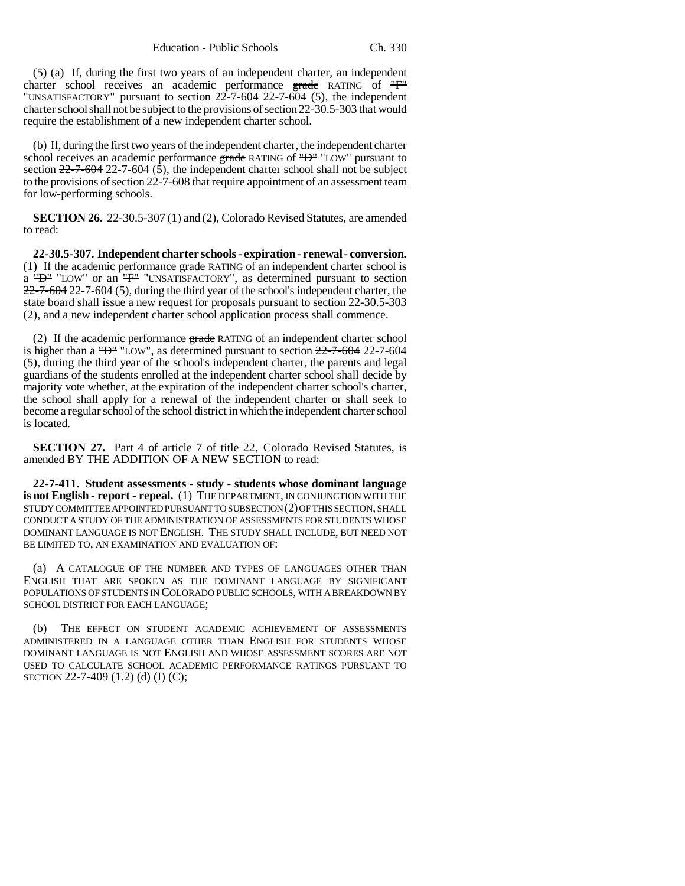(5) (a) If, during the first two years of an independent charter, an independent charter school receives an academic performance grade RATING of "F" "UNSATISFACTORY" pursuant to section  $22-7-604$  22-7-604 (5), the independent charter school shall not be subject to the provisions of section 22-30.5-303 that would require the establishment of a new independent charter school.

(b) If, during the first two years of the independent charter, the independent charter school receives an academic performance grade RATING of "D" "LOW" pursuant to section 22-7-604 22-7-604 (5), the independent charter school shall not be subject to the provisions of section 22-7-608 that require appointment of an assessment team for low-performing schools.

**SECTION 26.** 22-30.5-307 (1) and (2), Colorado Revised Statutes, are amended to read:

**22-30.5-307. Independent charter schools - expiration - renewal - conversion.** (1) If the academic performance  $\frac{grad}{dx}$  RATING of an independent charter school is a "D" "LOW" or an "F" "UNSATISFACTORY", as determined pursuant to section 22-7-604 22-7-604 (5), during the third year of the school's independent charter, the state board shall issue a new request for proposals pursuant to section 22-30.5-303 (2), and a new independent charter school application process shall commence.

(2) If the academic performance grade RATING of an independent charter school is higher than a "D" "LOW", as determined pursuant to section 22-7-604 22-7-604 (5), during the third year of the school's independent charter, the parents and legal guardians of the students enrolled at the independent charter school shall decide by majority vote whether, at the expiration of the independent charter school's charter, the school shall apply for a renewal of the independent charter or shall seek to become a regular school of the school district in which the independent charter school is located.

**SECTION 27.** Part 4 of article 7 of title 22, Colorado Revised Statutes, is amended BY THE ADDITION OF A NEW SECTION to read:

**22-7-411. Student assessments - study - students whose dominant language is not English - report - repeal.** (1) THE DEPARTMENT, IN CONJUNCTION WITH THE STUDY COMMITTEE APPOINTED PURSUANT TO SUBSECTION (2) OF THIS SECTION, SHALL CONDUCT A STUDY OF THE ADMINISTRATION OF ASSESSMENTS FOR STUDENTS WHOSE DOMINANT LANGUAGE IS NOT ENGLISH. THE STUDY SHALL INCLUDE, BUT NEED NOT BE LIMITED TO, AN EXAMINATION AND EVALUATION OF:

(a) A CATALOGUE OF THE NUMBER AND TYPES OF LANGUAGES OTHER THAN ENGLISH THAT ARE SPOKEN AS THE DOMINANT LANGUAGE BY SIGNIFICANT POPULATIONS OF STUDENTS IN COLORADO PUBLIC SCHOOLS, WITH A BREAKDOWN BY SCHOOL DISTRICT FOR EACH LANGUAGE;

THE EFFECT ON STUDENT ACADEMIC ACHIEVEMENT OF ASSESSMENTS ADMINISTERED IN A LANGUAGE OTHER THAN ENGLISH FOR STUDENTS WHOSE DOMINANT LANGUAGE IS NOT ENGLISH AND WHOSE ASSESSMENT SCORES ARE NOT USED TO CALCULATE SCHOOL ACADEMIC PERFORMANCE RATINGS PURSUANT TO SECTION 22-7-409 (1.2) (d) (I) (C);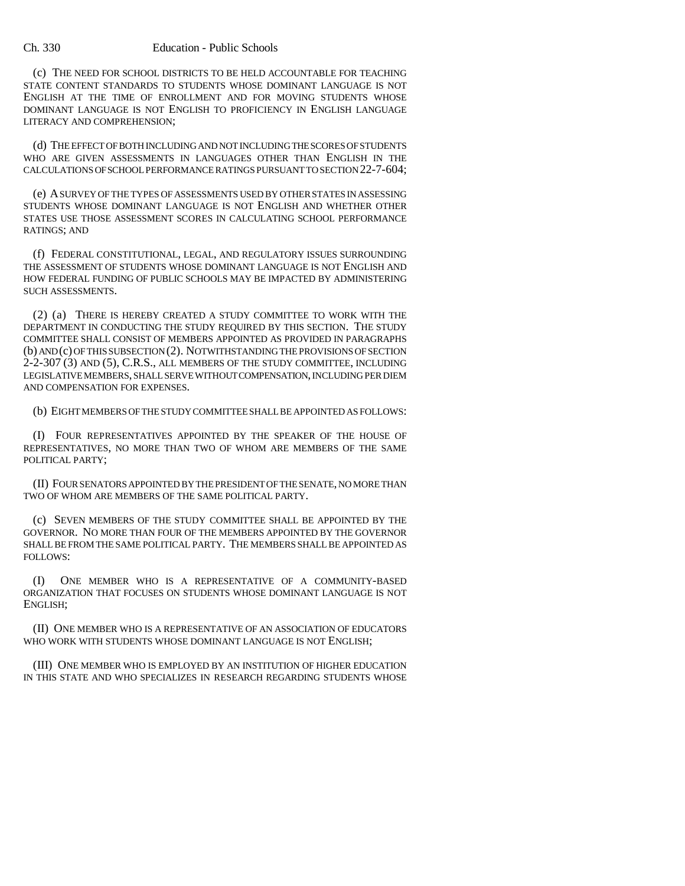### Ch. 330 Education - Public Schools

(c) THE NEED FOR SCHOOL DISTRICTS TO BE HELD ACCOUNTABLE FOR TEACHING STATE CONTENT STANDARDS TO STUDENTS WHOSE DOMINANT LANGUAGE IS NOT ENGLISH AT THE TIME OF ENROLLMENT AND FOR MOVING STUDENTS WHOSE DOMINANT LANGUAGE IS NOT ENGLISH TO PROFICIENCY IN ENGLISH LANGUAGE LITERACY AND COMPREHENSION;

(d) THE EFFECT OF BOTH INCLUDING AND NOT INCLUDING THE SCORES OF STUDENTS WHO ARE GIVEN ASSESSMENTS IN LANGUAGES OTHER THAN ENGLISH IN THE CALCULATIONS OF SCHOOL PERFORMANCE RATINGS PURSUANT TO SECTION 22-7-604;

(e) A SURVEY OF THE TYPES OF ASSESSMENTS USED BY OTHER STATES IN ASSESSING STUDENTS WHOSE DOMINANT LANGUAGE IS NOT ENGLISH AND WHETHER OTHER STATES USE THOSE ASSESSMENT SCORES IN CALCULATING SCHOOL PERFORMANCE RATINGS; AND

(f) FEDERAL CONSTITUTIONAL, LEGAL, AND REGULATORY ISSUES SURROUNDING THE ASSESSMENT OF STUDENTS WHOSE DOMINANT LANGUAGE IS NOT ENGLISH AND HOW FEDERAL FUNDING OF PUBLIC SCHOOLS MAY BE IMPACTED BY ADMINISTERING SUCH ASSESSMENTS.

(2) (a) THERE IS HEREBY CREATED A STUDY COMMITTEE TO WORK WITH THE DEPARTMENT IN CONDUCTING THE STUDY REQUIRED BY THIS SECTION. THE STUDY COMMITTEE SHALL CONSIST OF MEMBERS APPOINTED AS PROVIDED IN PARAGRAPHS (b) AND (c) OF THIS SUBSECTION (2). NOTWITHSTANDING THE PROVISIONS OF SECTION 2-2-307 (3) AND (5), C.R.S., ALL MEMBERS OF THE STUDY COMMITTEE, INCLUDING LEGISLATIVE MEMBERS, SHALL SERVE WITHOUT COMPENSATION, INCLUDING PER DIEM AND COMPENSATION FOR EXPENSES.

(b) EIGHT MEMBERS OF THE STUDY COMMITTEE SHALL BE APPOINTED AS FOLLOWS:

(I) FOUR REPRESENTATIVES APPOINTED BY THE SPEAKER OF THE HOUSE OF REPRESENTATIVES, NO MORE THAN TWO OF WHOM ARE MEMBERS OF THE SAME POLITICAL PARTY;

(II) FOUR SENATORS APPOINTED BY THE PRESIDENT OF THE SENATE, NO MORE THAN TWO OF WHOM ARE MEMBERS OF THE SAME POLITICAL PARTY.

(c) SEVEN MEMBERS OF THE STUDY COMMITTEE SHALL BE APPOINTED BY THE GOVERNOR. NO MORE THAN FOUR OF THE MEMBERS APPOINTED BY THE GOVERNOR SHALL BE FROM THE SAME POLITICAL PARTY. THE MEMBERS SHALL BE APPOINTED AS FOLLOWS:

(I) ONE MEMBER WHO IS A REPRESENTATIVE OF A COMMUNITY-BASED ORGANIZATION THAT FOCUSES ON STUDENTS WHOSE DOMINANT LANGUAGE IS NOT ENGLISH;

(II) ONE MEMBER WHO IS A REPRESENTATIVE OF AN ASSOCIATION OF EDUCATORS WHO WORK WITH STUDENTS WHOSE DOMINANT LANGUAGE IS NOT ENGLISH;

(III) ONE MEMBER WHO IS EMPLOYED BY AN INSTITUTION OF HIGHER EDUCATION IN THIS STATE AND WHO SPECIALIZES IN RESEARCH REGARDING STUDENTS WHOSE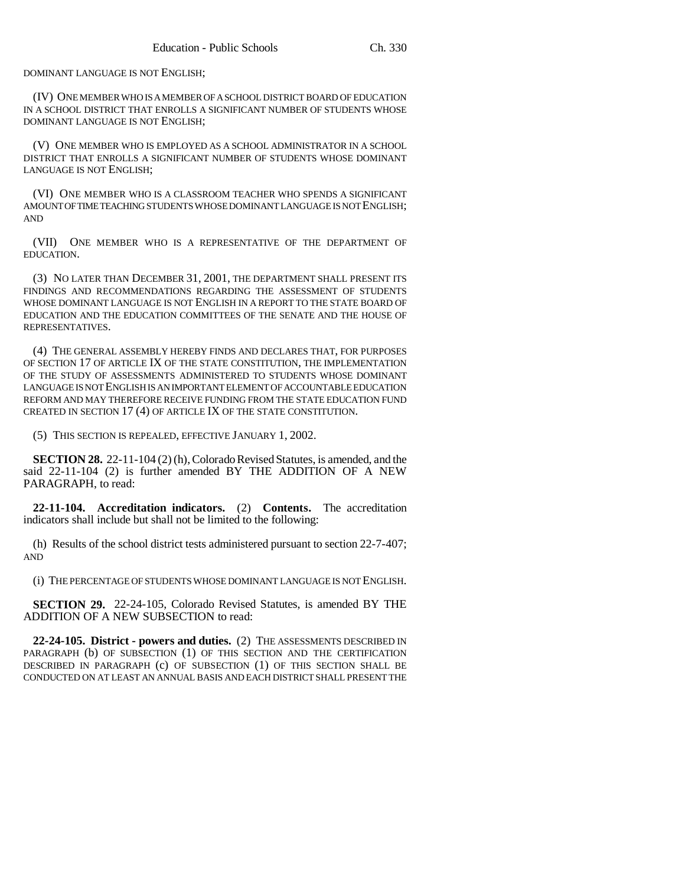DOMINANT LANGUAGE IS NOT ENGLISH;

(IV) ONE MEMBER WHO IS A MEMBER OF A SCHOOL DISTRICT BOARD OF EDUCATION IN A SCHOOL DISTRICT THAT ENROLLS A SIGNIFICANT NUMBER OF STUDENTS WHOSE DOMINANT LANGUAGE IS NOT ENGLISH;

(V) ONE MEMBER WHO IS EMPLOYED AS A SCHOOL ADMINISTRATOR IN A SCHOOL DISTRICT THAT ENROLLS A SIGNIFICANT NUMBER OF STUDENTS WHOSE DOMINANT LANGUAGE IS NOT ENGLISH;

(VI) ONE MEMBER WHO IS A CLASSROOM TEACHER WHO SPENDS A SIGNIFICANT AMOUNT OF TIME TEACHING STUDENTS WHOSE DOMINANT LANGUAGE IS NOT ENGLISH; AND

(VII) ONE MEMBER WHO IS A REPRESENTATIVE OF THE DEPARTMENT OF EDUCATION.

(3) NO LATER THAN DECEMBER 31, 2001, THE DEPARTMENT SHALL PRESENT ITS FINDINGS AND RECOMMENDATIONS REGARDING THE ASSESSMENT OF STUDENTS WHOSE DOMINANT LANGUAGE IS NOT ENGLISH IN A REPORT TO THE STATE BOARD OF EDUCATION AND THE EDUCATION COMMITTEES OF THE SENATE AND THE HOUSE OF REPRESENTATIVES.

(4) THE GENERAL ASSEMBLY HEREBY FINDS AND DECLARES THAT, FOR PURPOSES OF SECTION 17 OF ARTICLE IX OF THE STATE CONSTITUTION, THE IMPLEMENTATION OF THE STUDY OF ASSESSMENTS ADMINISTERED TO STUDENTS WHOSE DOMINANT LANGUAGE IS NOT ENGLISH IS AN IMPORTANT ELEMENT OF ACCOUNTABLE EDUCATION REFORM AND MAY THEREFORE RECEIVE FUNDING FROM THE STATE EDUCATION FUND CREATED IN SECTION 17 (4) OF ARTICLE IX OF THE STATE CONSTITUTION.

(5) THIS SECTION IS REPEALED, EFFECTIVE JANUARY 1, 2002.

**SECTION 28.** 22-11-104 (2) (h), Colorado Revised Statutes, is amended, and the said 22-11-104 (2) is further amended BY THE ADDITION OF A NEW PARAGRAPH, to read:

**22-11-104. Accreditation indicators.** (2) **Contents.** The accreditation indicators shall include but shall not be limited to the following:

(h) Results of the school district tests administered pursuant to section 22-7-407; AND

(i) THE PERCENTAGE OF STUDENTS WHOSE DOMINANT LANGUAGE IS NOT ENGLISH.

**SECTION 29.** 22-24-105, Colorado Revised Statutes, is amended BY THE ADDITION OF A NEW SUBSECTION to read:

**22-24-105. District - powers and duties.** (2) THE ASSESSMENTS DESCRIBED IN PARAGRAPH (b) OF SUBSECTION (1) OF THIS SECTION AND THE CERTIFICATION DESCRIBED IN PARAGRAPH (c) OF SUBSECTION (1) OF THIS SECTION SHALL BE CONDUCTED ON AT LEAST AN ANNUAL BASIS AND EACH DISTRICT SHALL PRESENT THE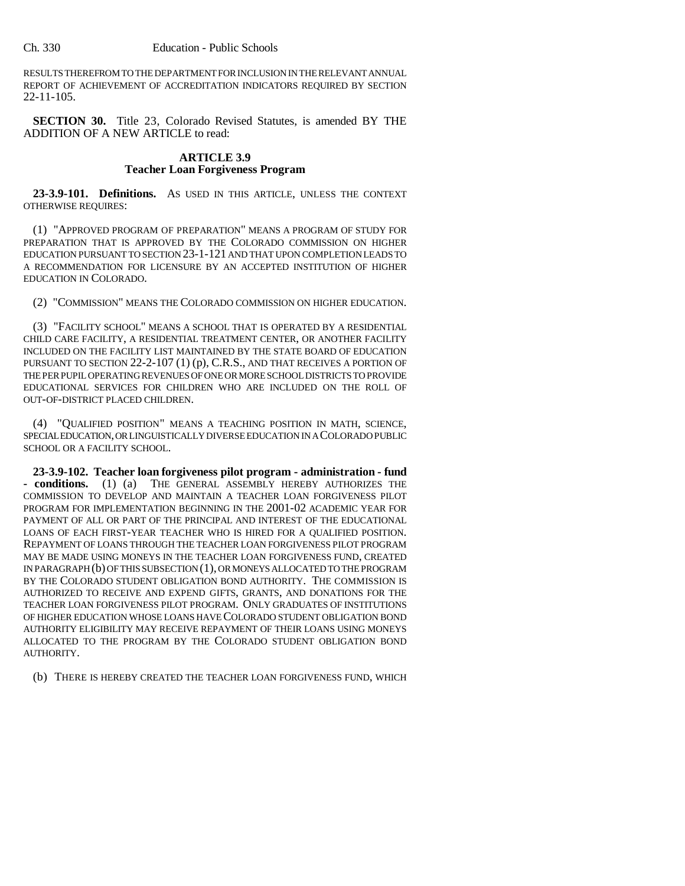RESULTS THEREFROM TO THE DEPARTMENT FOR INCLUSION IN THE RELEVANT ANNUAL REPORT OF ACHIEVEMENT OF ACCREDITATION INDICATORS REQUIRED BY SECTION 22-11-105.

**SECTION 30.** Title 23, Colorado Revised Statutes, is amended BY THE ADDITION OF A NEW ARTICLE to read:

### **ARTICLE 3.9 Teacher Loan Forgiveness Program**

**23-3.9-101. Definitions.** AS USED IN THIS ARTICLE, UNLESS THE CONTEXT OTHERWISE REQUIRES:

(1) "APPROVED PROGRAM OF PREPARATION" MEANS A PROGRAM OF STUDY FOR PREPARATION THAT IS APPROVED BY THE COLORADO COMMISSION ON HIGHER EDUCATION PURSUANT TO SECTION 23-1-121 AND THAT UPON COMPLETION LEADS TO A RECOMMENDATION FOR LICENSURE BY AN ACCEPTED INSTITUTION OF HIGHER EDUCATION IN COLORADO.

(2) "COMMISSION" MEANS THE COLORADO COMMISSION ON HIGHER EDUCATION.

(3) "FACILITY SCHOOL" MEANS A SCHOOL THAT IS OPERATED BY A RESIDENTIAL CHILD CARE FACILITY, A RESIDENTIAL TREATMENT CENTER, OR ANOTHER FACILITY INCLUDED ON THE FACILITY LIST MAINTAINED BY THE STATE BOARD OF EDUCATION PURSUANT TO SECTION 22-2-107 (1) (p), C.R.S., AND THAT RECEIVES A PORTION OF THE PER PUPIL OPERATING REVENUES OF ONE OR MORE SCHOOL DISTRICTS TO PROVIDE EDUCATIONAL SERVICES FOR CHILDREN WHO ARE INCLUDED ON THE ROLL OF OUT-OF-DISTRICT PLACED CHILDREN.

(4) "QUALIFIED POSITION" MEANS A TEACHING POSITION IN MATH, SCIENCE, SPECIAL EDUCATION, OR LINGUISTICALLY DIVERSE EDUCATION IN A COLORADO PUBLIC SCHOOL OR A FACILITY SCHOOL.

**23-3.9-102. Teacher loan forgiveness pilot program - administration - fund - conditions.** (1) (a) THE GENERAL ASSEMBLY HEREBY AUTHORIZES THE COMMISSION TO DEVELOP AND MAINTAIN A TEACHER LOAN FORGIVENESS PILOT PROGRAM FOR IMPLEMENTATION BEGINNING IN THE 2001-02 ACADEMIC YEAR FOR PAYMENT OF ALL OR PART OF THE PRINCIPAL AND INTEREST OF THE EDUCATIONAL LOANS OF EACH FIRST-YEAR TEACHER WHO IS HIRED FOR A QUALIFIED POSITION. REPAYMENT OF LOANS THROUGH THE TEACHER LOAN FORGIVENESS PILOT PROGRAM MAY BE MADE USING MONEYS IN THE TEACHER LOAN FORGIVENESS FUND, CREATED IN PARAGRAPH (b) OF THIS SUBSECTION (1), OR MONEYS ALLOCATED TO THE PROGRAM BY THE COLORADO STUDENT OBLIGATION BOND AUTHORITY. THE COMMISSION IS AUTHORIZED TO RECEIVE AND EXPEND GIFTS, GRANTS, AND DONATIONS FOR THE TEACHER LOAN FORGIVENESS PILOT PROGRAM. ONLY GRADUATES OF INSTITUTIONS OF HIGHER EDUCATION WHOSE LOANS HAVE COLORADO STUDENT OBLIGATION BOND AUTHORITY ELIGIBILITY MAY RECEIVE REPAYMENT OF THEIR LOANS USING MONEYS ALLOCATED TO THE PROGRAM BY THE COLORADO STUDENT OBLIGATION BOND AUTHORITY.

(b) THERE IS HEREBY CREATED THE TEACHER LOAN FORGIVENESS FUND, WHICH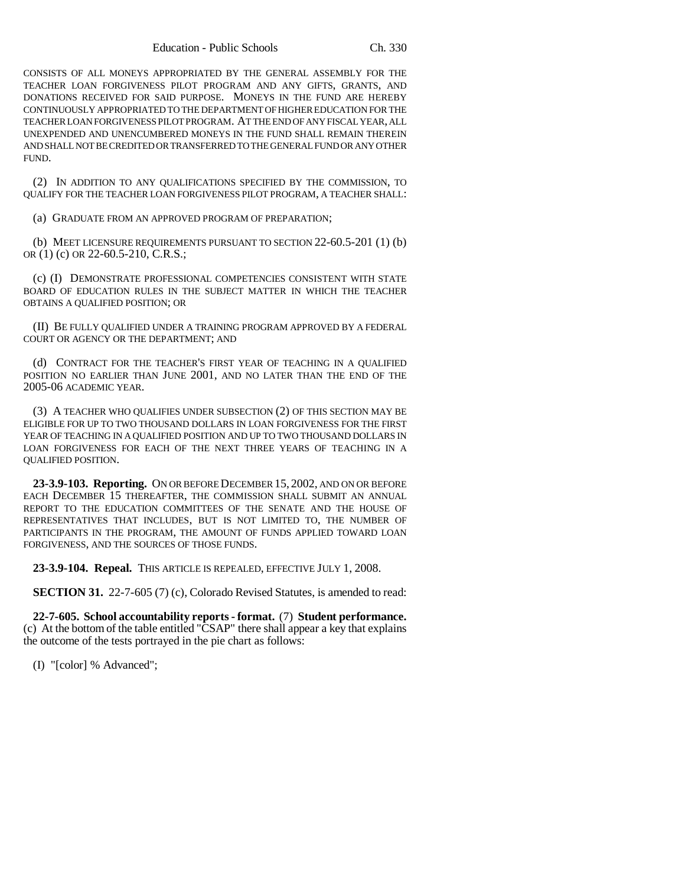CONSISTS OF ALL MONEYS APPROPRIATED BY THE GENERAL ASSEMBLY FOR THE TEACHER LOAN FORGIVENESS PILOT PROGRAM AND ANY GIFTS, GRANTS, AND DONATIONS RECEIVED FOR SAID PURPOSE. MONEYS IN THE FUND ARE HEREBY CONTINUOUSLY APPROPRIATED TO THE DEPARTMENT OF HIGHER EDUCATION FOR THE TEACHER LOAN FORGIVENESS PILOT PROGRAM. AT THE END OF ANY FISCAL YEAR, ALL UNEXPENDED AND UNENCUMBERED MONEYS IN THE FUND SHALL REMAIN THEREIN AND SHALL NOT BE CREDITED OR TRANSFERRED TO THE GENERAL FUND OR ANY OTHER FUND.

(2) IN ADDITION TO ANY QUALIFICATIONS SPECIFIED BY THE COMMISSION, TO QUALIFY FOR THE TEACHER LOAN FORGIVENESS PILOT PROGRAM, A TEACHER SHALL:

(a) GRADUATE FROM AN APPROVED PROGRAM OF PREPARATION;

(b) MEET LICENSURE REQUIREMENTS PURSUANT TO SECTION 22-60.5-201 (1) (b) OR (1) (c) OR 22-60.5-210, C.R.S.;

(c) (I) DEMONSTRATE PROFESSIONAL COMPETENCIES CONSISTENT WITH STATE BOARD OF EDUCATION RULES IN THE SUBJECT MATTER IN WHICH THE TEACHER OBTAINS A QUALIFIED POSITION; OR

(II) BE FULLY QUALIFIED UNDER A TRAINING PROGRAM APPROVED BY A FEDERAL COURT OR AGENCY OR THE DEPARTMENT; AND

(d) CONTRACT FOR THE TEACHER'S FIRST YEAR OF TEACHING IN A QUALIFIED POSITION NO EARLIER THAN JUNE 2001, AND NO LATER THAN THE END OF THE 2005-06 ACADEMIC YEAR.

(3) A TEACHER WHO QUALIFIES UNDER SUBSECTION (2) OF THIS SECTION MAY BE ELIGIBLE FOR UP TO TWO THOUSAND DOLLARS IN LOAN FORGIVENESS FOR THE FIRST YEAR OF TEACHING IN A QUALIFIED POSITION AND UP TO TWO THOUSAND DOLLARS IN LOAN FORGIVENESS FOR EACH OF THE NEXT THREE YEARS OF TEACHING IN A QUALIFIED POSITION.

**23-3.9-103. Reporting.** ON OR BEFORE DECEMBER 15, 2002, AND ON OR BEFORE EACH DECEMBER 15 THEREAFTER, THE COMMISSION SHALL SUBMIT AN ANNUAL REPORT TO THE EDUCATION COMMITTEES OF THE SENATE AND THE HOUSE OF REPRESENTATIVES THAT INCLUDES, BUT IS NOT LIMITED TO, THE NUMBER OF PARTICIPANTS IN THE PROGRAM, THE AMOUNT OF FUNDS APPLIED TOWARD LOAN FORGIVENESS, AND THE SOURCES OF THOSE FUNDS.

**23-3.9-104. Repeal.** THIS ARTICLE IS REPEALED, EFFECTIVE JULY 1, 2008.

**SECTION 31.** 22-7-605 (7) (c), Colorado Revised Statutes, is amended to read:

**22-7-605. School accountability reports - format.** (7) **Student performance.** (c) At the bottom of the table entitled "CSAP" there shall appear a key that explains the outcome of the tests portrayed in the pie chart as follows:

(I) "[color] % Advanced";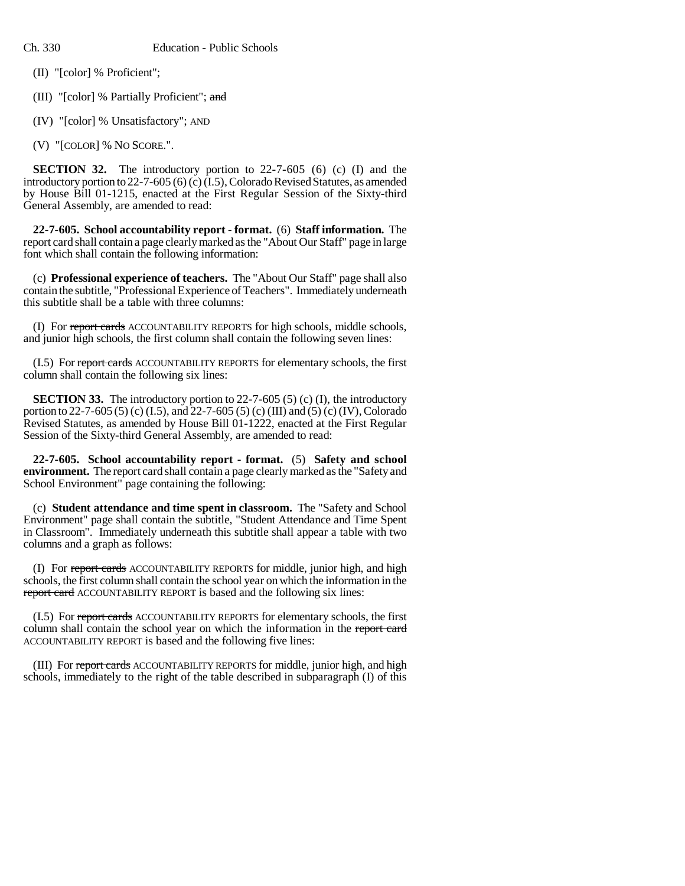(II) "[color] % Proficient";

- (III) "[color] % Partially Proficient"; and
- (IV) "[color] % Unsatisfactory"; AND
- (V) "[COLOR] % NO SCORE.".

**SECTION 32.** The introductory portion to 22-7-605 (6) (c) (I) and the introductory portion to 22-7-605 (6) (c) (I.5), Colorado Revised Statutes, as amended by House Bill 01-1215, enacted at the First Regular Session of the Sixty-third General Assembly, are amended to read:

**22-7-605. School accountability report - format.** (6) **Staff information.** The report card shall contain a page clearly marked as the "About Our Staff" page in large font which shall contain the following information:

(c) **Professional experience of teachers.** The "About Our Staff" page shall also contain the subtitle, "Professional Experience of Teachers". Immediately underneath this subtitle shall be a table with three columns:

(I) For report cards ACCOUNTABILITY REPORTS for high schools, middle schools, and junior high schools, the first column shall contain the following seven lines:

(I.5) For report cards ACCOUNTABILITY REPORTS for elementary schools, the first column shall contain the following six lines:

**SECTION 33.** The introductory portion to 22-7-605 (5) (c) (I), the introductory portion to 22-7-605 (5) (c) (I.5), and 22-7-605 (5) (c) (III) and (5) (c) (IV), Colorado Revised Statutes, as amended by House Bill 01-1222, enacted at the First Regular Session of the Sixty-third General Assembly, are amended to read:

**22-7-605. School accountability report - format.** (5) **Safety and school environment.** The report card shall contain a page clearly marked as the "Safety and School Environment" page containing the following:

(c) **Student attendance and time spent in classroom.** The "Safety and School Environment" page shall contain the subtitle, "Student Attendance and Time Spent in Classroom". Immediately underneath this subtitle shall appear a table with two columns and a graph as follows:

(I) For report cards ACCOUNTABILITY REPORTS for middle, junior high, and high schools, the first column shall contain the school year on which the information in the report card ACCOUNTABILITY REPORT is based and the following six lines:

(I.5) For report cards ACCOUNTABILITY REPORTS for elementary schools, the first column shall contain the school year on which the information in the report card ACCOUNTABILITY REPORT is based and the following five lines:

(III) For report cards ACCOUNTABILITY REPORTS for middle, junior high, and high schools, immediately to the right of the table described in subparagraph (I) of this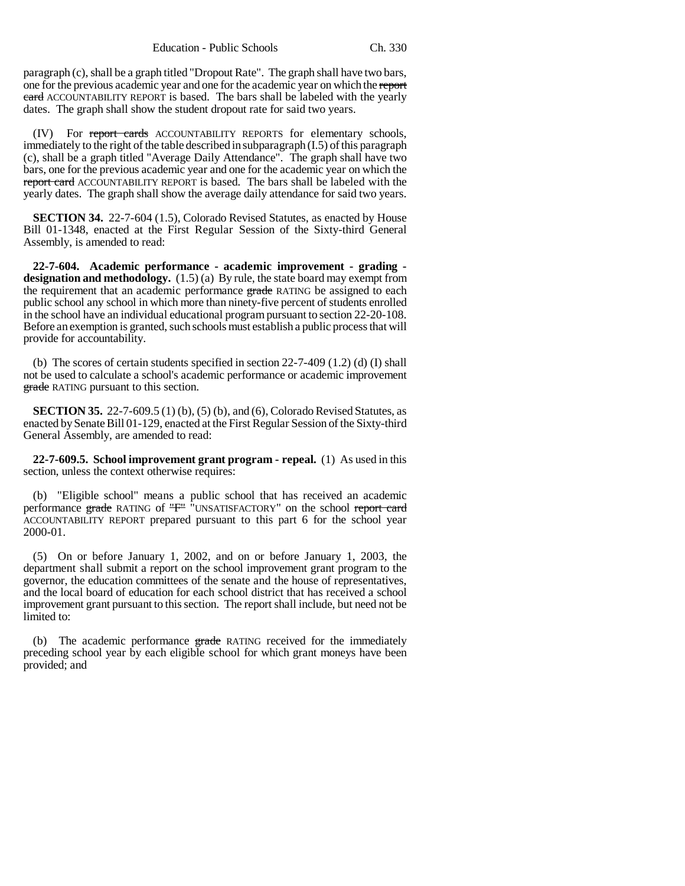paragraph (c), shall be a graph titled "Dropout Rate". The graph shall have two bars, one for the previous academic year and one for the academic year on which the report card ACCOUNTABILITY REPORT is based. The bars shall be labeled with the yearly dates. The graph shall show the student dropout rate for said two years.

(IV) For report cards ACCOUNTABILITY REPORTS for elementary schools, immediately to the right of the table described in subparagraph (I.5) of this paragraph (c), shall be a graph titled "Average Daily Attendance". The graph shall have two bars, one for the previous academic year and one for the academic year on which the report card ACCOUNTABILITY REPORT is based. The bars shall be labeled with the yearly dates. The graph shall show the average daily attendance for said two years.

**SECTION 34.** 22-7-604 (1.5), Colorado Revised Statutes, as enacted by House Bill 01-1348, enacted at the First Regular Session of the Sixty-third General Assembly, is amended to read:

**22-7-604. Academic performance - academic improvement - grading designation and methodology.** (1.5) (a) By rule, the state board may exempt from the requirement that an academic performance grade RATING be assigned to each public school any school in which more than ninety-five percent of students enrolled in the school have an individual educational program pursuant to section 22-20-108. Before an exemption is granted, such schools must establish a public process that will provide for accountability.

(b) The scores of certain students specified in section 22-7-409 (1.2) (d) (I) shall not be used to calculate a school's academic performance or academic improvement grade RATING pursuant to this section.

**SECTION 35.** 22-7-609.5 (1) (b), (5) (b), and (6), Colorado Revised Statutes, as enacted by Senate Bill 01-129, enacted at the First Regular Session of the Sixty-third General Assembly, are amended to read:

**22-7-609.5. School improvement grant program - repeal.** (1) As used in this section, unless the context otherwise requires:

(b) "Eligible school" means a public school that has received an academic performance grade RATING of "F<sup>"</sup> "UNSATISFACTORY" on the school report card ACCOUNTABILITY REPORT prepared pursuant to this part 6 for the school year 2000-01.

(5) On or before January 1, 2002, and on or before January 1, 2003, the department shall submit a report on the school improvement grant program to the governor, the education committees of the senate and the house of representatives, and the local board of education for each school district that has received a school improvement grant pursuant to this section. The report shall include, but need not be limited to:

(b) The academic performance grade RATING received for the immediately preceding school year by each eligible school for which grant moneys have been provided; and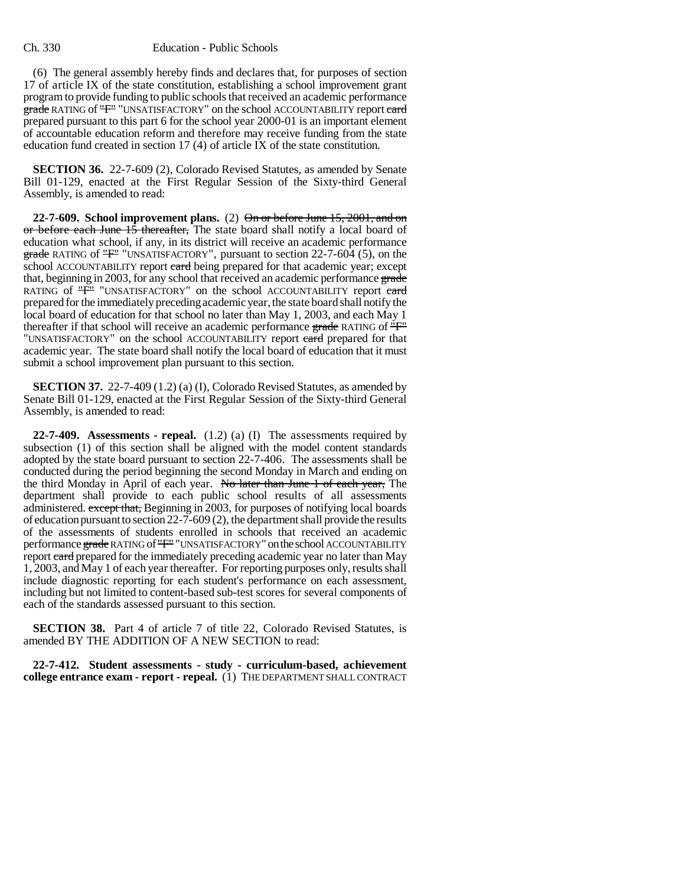(6) The general assembly hereby finds and declares that, for purposes of section 17 of article IX of the state constitution, establishing a school improvement grant program to provide funding to public schools that received an academic performance grade RATING of "F" "UNSATISFACTORY" on the school ACCOUNTABILITY report eard prepared pursuant to this part 6 for the school year 2000-01 is an important element of accountable education reform and therefore may receive funding from the state education fund created in section 17 (4) of article IX of the state constitution.

**SECTION 36.** 22-7-609 (2), Colorado Revised Statutes, as amended by Senate Bill 01-129, enacted at the First Regular Session of the Sixty-third General Assembly, is amended to read:

**22-7-609. School improvement plans.** (2) On or before June 15, 2001, and on or before each June 15 thereafter. The state board shall notify a local board of education what school, if any, in its district will receive an academic performance grade RATING of "F" "UNSATISFACTORY", pursuant to section 22-7-604 (5), on the school ACCOUNTABILITY report eard being prepared for that academic year; except that, beginning in 2003, for any school that received an academic performance grade RATING of "F" "UNSATISFACTORY" on the school ACCOUNTABILITY report eard prepared for the immediately preceding academic year, the state board shall notify the local board of education for that school no later than May 1, 2003, and each May 1 thereafter if that school will receive an academic performance grade RATING of "F" "UNSATISFACTORY" on the school ACCOUNTABILITY report eard prepared for that academic year. The state board shall notify the local board of education that it must submit a school improvement plan pursuant to this section.

**SECTION 37.** 22-7-409 (1.2) (a) (I), Colorado Revised Statutes, as amended by Senate Bill 01-129, enacted at the First Regular Session of the Sixty-third General Assembly, is amended to read:

**22-7-409. Assessments - repeal.** (1.2) (a) (I) The assessments required by subsection (1) of this section shall be aligned with the model content standards adopted by the state board pursuant to section 22-7-406. The assessments shall be conducted during the period beginning the second Monday in March and ending on the third Monday in April of each year. No later than June 1 of each year, The department shall provide to each public school results of all assessments administered. except that, Beginning in 2003, for purposes of notifying local boards of education pursuant to section 22-7-609 (2), the department shall provide the results of the assessments of students enrolled in schools that received an academic performance grade RATING of "F" "UNSATISFACTORY" on the school ACCOUNTABILITY report eard prepared for the immediately preceding academic year no later than May 1, 2003, and May 1 of each year thereafter. For reporting purposes only, results shall include diagnostic reporting for each student's performance on each assessment, including but not limited to content-based sub-test scores for several components of each of the standards assessed pursuant to this section.

**SECTION 38.** Part 4 of article 7 of title 22, Colorado Revised Statutes, is amended BY THE ADDITION OF A NEW SECTION to read:

**22-7-412. Student assessments - study - curriculum-based, achievement college entrance exam - report - repeal.** (1) THE DEPARTMENT SHALL CONTRACT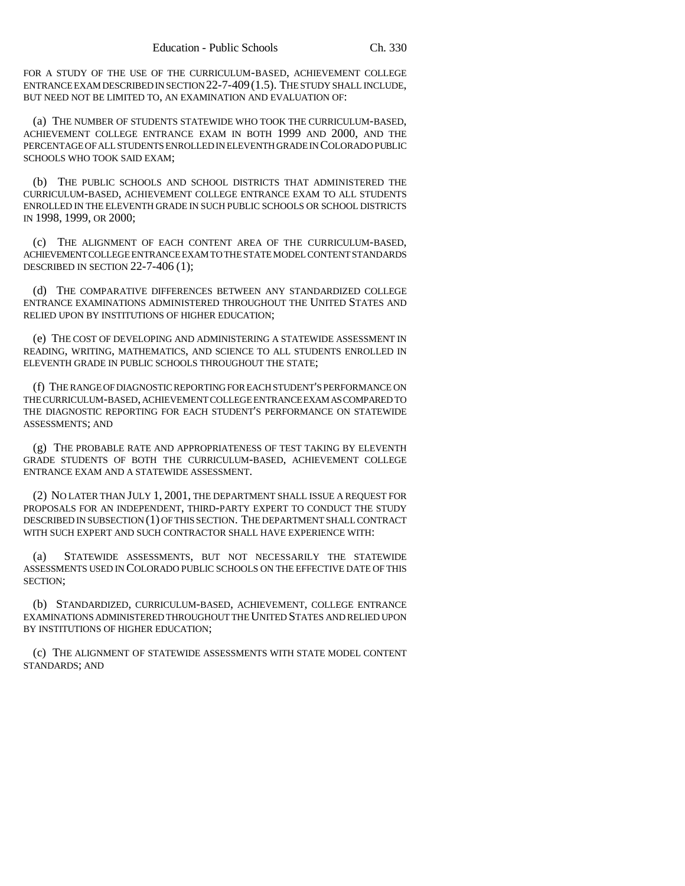FOR A STUDY OF THE USE OF THE CURRICULUM-BASED, ACHIEVEMENT COLLEGE ENTRANCE EXAM DESCRIBED IN SECTION 22-7-409(1.5). THE STUDY SHALL INCLUDE, BUT NEED NOT BE LIMITED TO, AN EXAMINATION AND EVALUATION OF:

(a) THE NUMBER OF STUDENTS STATEWIDE WHO TOOK THE CURRICULUM-BASED, ACHIEVEMENT COLLEGE ENTRANCE EXAM IN BOTH 1999 AND 2000, AND THE PERCENTAGE OF ALL STUDENTS ENROLLED IN ELEVENTH GRADE IN COLORADO PUBLIC SCHOOLS WHO TOOK SAID EXAM;

(b) THE PUBLIC SCHOOLS AND SCHOOL DISTRICTS THAT ADMINISTERED THE CURRICULUM-BASED, ACHIEVEMENT COLLEGE ENTRANCE EXAM TO ALL STUDENTS ENROLLED IN THE ELEVENTH GRADE IN SUCH PUBLIC SCHOOLS OR SCHOOL DISTRICTS IN 1998, 1999, OR 2000;

(c) THE ALIGNMENT OF EACH CONTENT AREA OF THE CURRICULUM-BASED, ACHIEVEMENT COLLEGE ENTRANCE EXAM TO THE STATE MODEL CONTENT STANDARDS DESCRIBED IN SECTION 22-7-406 (1);

(d) THE COMPARATIVE DIFFERENCES BETWEEN ANY STANDARDIZED COLLEGE ENTRANCE EXAMINATIONS ADMINISTERED THROUGHOUT THE UNITED STATES AND RELIED UPON BY INSTITUTIONS OF HIGHER EDUCATION;

(e) THE COST OF DEVELOPING AND ADMINISTERING A STATEWIDE ASSESSMENT IN READING, WRITING, MATHEMATICS, AND SCIENCE TO ALL STUDENTS ENROLLED IN ELEVENTH GRADE IN PUBLIC SCHOOLS THROUGHOUT THE STATE;

(f) THE RANGE OF DIAGNOSTIC REPORTING FOR EACH STUDENT'S PERFORMANCE ON THE CURRICULUM-BASED, ACHIEVEMENT COLLEGE ENTRANCE EXAM AS COMPARED TO THE DIAGNOSTIC REPORTING FOR EACH STUDENT'S PERFORMANCE ON STATEWIDE ASSESSMENTS; AND

(g) THE PROBABLE RATE AND APPROPRIATENESS OF TEST TAKING BY ELEVENTH GRADE STUDENTS OF BOTH THE CURRICULUM-BASED, ACHIEVEMENT COLLEGE ENTRANCE EXAM AND A STATEWIDE ASSESSMENT.

(2) NO LATER THAN JULY 1, 2001, THE DEPARTMENT SHALL ISSUE A REQUEST FOR PROPOSALS FOR AN INDEPENDENT, THIRD-PARTY EXPERT TO CONDUCT THE STUDY DESCRIBED IN SUBSECTION (1) OF THIS SECTION. THE DEPARTMENT SHALL CONTRACT WITH SUCH EXPERT AND SUCH CONTRACTOR SHALL HAVE EXPERIENCE WITH:

(a) STATEWIDE ASSESSMENTS, BUT NOT NECESSARILY THE STATEWIDE ASSESSMENTS USED IN COLORADO PUBLIC SCHOOLS ON THE EFFECTIVE DATE OF THIS SECTION;

(b) STANDARDIZED, CURRICULUM-BASED, ACHIEVEMENT, COLLEGE ENTRANCE EXAMINATIONS ADMINISTERED THROUGHOUT THE UNITED STATES AND RELIED UPON BY INSTITUTIONS OF HIGHER EDUCATION;

(c) THE ALIGNMENT OF STATEWIDE ASSESSMENTS WITH STATE MODEL CONTENT STANDARDS; AND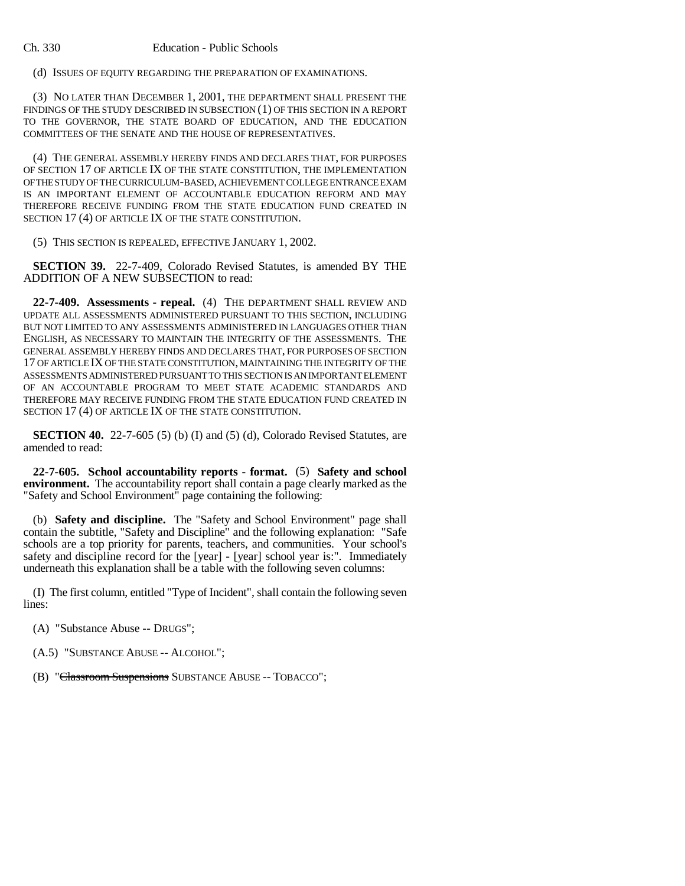(d) ISSUES OF EQUITY REGARDING THE PREPARATION OF EXAMINATIONS.

(3) NO LATER THAN DECEMBER 1, 2001, THE DEPARTMENT SHALL PRESENT THE FINDINGS OF THE STUDY DESCRIBED IN SUBSECTION (1) OF THIS SECTION IN A REPORT TO THE GOVERNOR, THE STATE BOARD OF EDUCATION, AND THE EDUCATION COMMITTEES OF THE SENATE AND THE HOUSE OF REPRESENTATIVES.

(4) THE GENERAL ASSEMBLY HEREBY FINDS AND DECLARES THAT, FOR PURPOSES OF SECTION 17 OF ARTICLE IX OF THE STATE CONSTITUTION, THE IMPLEMENTATION OF THE STUDY OF THE CURRICULUM-BASED, ACHIEVEMENT COLLEGE ENTRANCE EXAM IS AN IMPORTANT ELEMENT OF ACCOUNTABLE EDUCATION REFORM AND MAY THEREFORE RECEIVE FUNDING FROM THE STATE EDUCATION FUND CREATED IN SECTION 17 (4) OF ARTICLE IX OF THE STATE CONSTITUTION.

(5) THIS SECTION IS REPEALED, EFFECTIVE JANUARY 1, 2002.

**SECTION 39.** 22-7-409, Colorado Revised Statutes, is amended BY THE ADDITION OF A NEW SUBSECTION to read:

**22-7-409. Assessments - repeal.** (4) THE DEPARTMENT SHALL REVIEW AND UPDATE ALL ASSESSMENTS ADMINISTERED PURSUANT TO THIS SECTION, INCLUDING BUT NOT LIMITED TO ANY ASSESSMENTS ADMINISTERED IN LANGUAGES OTHER THAN ENGLISH, AS NECESSARY TO MAINTAIN THE INTEGRITY OF THE ASSESSMENTS. THE GENERAL ASSEMBLY HEREBY FINDS AND DECLARES THAT, FOR PURPOSES OF SECTION 17 OF ARTICLE IX OF THE STATE CONSTITUTION, MAINTAINING THE INTEGRITY OF THE ASSESSMENTS ADMINISTERED PURSUANT TO THIS SECTION IS AN IMPORTANT ELEMENT OF AN ACCOUNTABLE PROGRAM TO MEET STATE ACADEMIC STANDARDS AND THEREFORE MAY RECEIVE FUNDING FROM THE STATE EDUCATION FUND CREATED IN SECTION 17 (4) OF ARTICLE IX OF THE STATE CONSTITUTION.

**SECTION 40.** 22-7-605 (5) (b) (I) and (5) (d), Colorado Revised Statutes, are amended to read:

**22-7-605. School accountability reports - format.** (5) **Safety and school environment.** The accountability report shall contain a page clearly marked as the "Safety and School Environment" page containing the following:

(b) **Safety and discipline.** The "Safety and School Environment" page shall contain the subtitle, "Safety and Discipline" and the following explanation: "Safe schools are a top priority for parents, teachers, and communities. Your school's safety and discipline record for the [year] - [year] school year is:". Immediately underneath this explanation shall be a table with the following seven columns:

(I) The first column, entitled "Type of Incident", shall contain the following seven lines:

(A) "Substance Abuse -- DRUGS";

(A.5) "SUBSTANCE ABUSE -- ALCOHOL";

(B) "Classroom Suspensions SUBSTANCE ABUSE -- TOBACCO";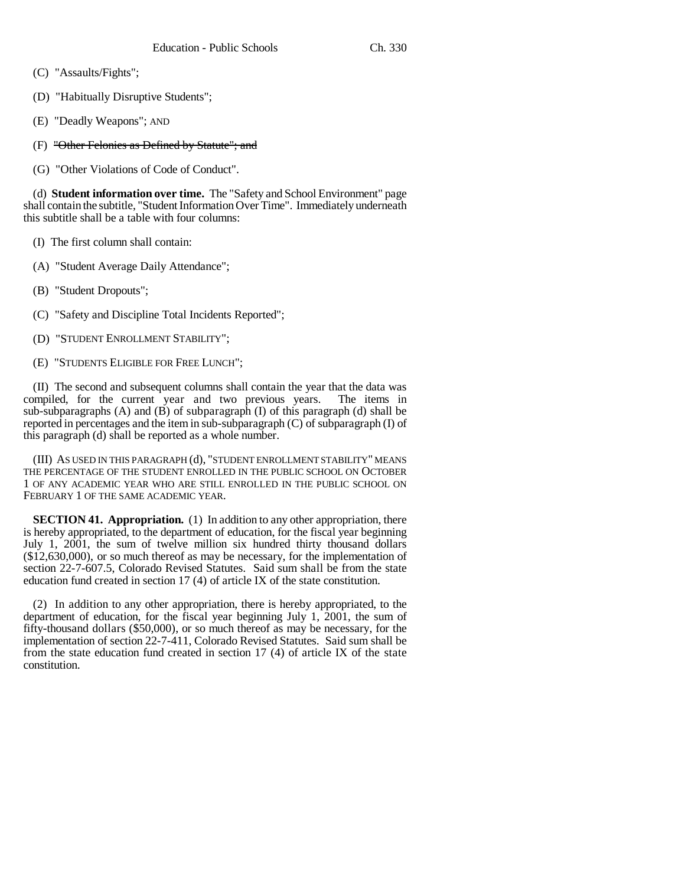- (C) "Assaults/Fights";
- (D) "Habitually Disruptive Students";
- (E) "Deadly Weapons"; AND
- (F) "Other Felonies as Defined by Statute"; and
- (G) "Other Violations of Code of Conduct".

(d) **Student information over time.** The "Safety and School Environment" page shall contain the subtitle, "Student Information Over Time". Immediately underneath this subtitle shall be a table with four columns:

- (I) The first column shall contain:
- (A) "Student Average Daily Attendance";
- (B) "Student Dropouts";
- (C) "Safety and Discipline Total Incidents Reported";
- (D) "STUDENT ENROLLMENT STABILITY";
- (E) "STUDENTS ELIGIBLE FOR FREE LUNCH";

(II) The second and subsequent columns shall contain the year that the data was possibled. For the current year and two previous years. The items in compiled, for the current year and two previous years. sub-subparagraphs (A) and (B) of subparagraph (I) of this paragraph (d) shall be reported in percentages and the item in sub-subparagraph (C) of subparagraph (I) of this paragraph (d) shall be reported as a whole number.

(III) AS USED IN THIS PARAGRAPH (d), "STUDENT ENROLLMENT STABILITY" MEANS THE PERCENTAGE OF THE STUDENT ENROLLED IN THE PUBLIC SCHOOL ON OCTOBER 1 OF ANY ACADEMIC YEAR WHO ARE STILL ENROLLED IN THE PUBLIC SCHOOL ON FEBRUARY 1 OF THE SAME ACADEMIC YEAR.

**SECTION 41. Appropriation.** (1) In addition to any other appropriation, there is hereby appropriated, to the department of education, for the fiscal year beginning July 1, 2001, the sum of twelve million six hundred thirty thousand dollars (\$12,630,000), or so much thereof as may be necessary, for the implementation of section 22-7-607.5, Colorado Revised Statutes. Said sum shall be from the state education fund created in section 17 (4) of article IX of the state constitution.

(2) In addition to any other appropriation, there is hereby appropriated, to the department of education, for the fiscal year beginning July 1, 2001, the sum of fifty-thousand dollars (\$50,000), or so much thereof as may be necessary, for the implementation of section 22-7-411, Colorado Revised Statutes. Said sum shall be from the state education fund created in section 17 (4) of article IX of the state constitution.